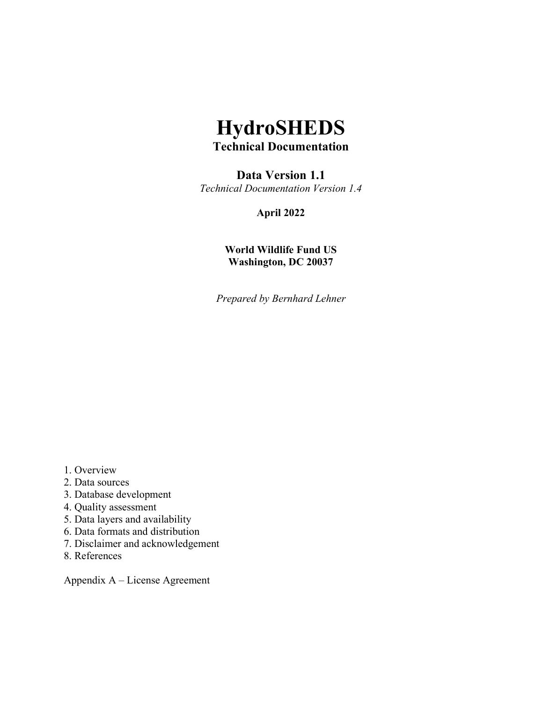## **HydroSHEDS Technical Documentation**

# **Data Version 1.1**

*Technical Documentation Version 1.4*

**April 2022**

**World Wildlife Fund US Washington, DC 20037**

*Prepared by Bernhard Lehner*

- 1. Overview
- 2. Data sources
- 3. Database development
- 4. Quality assessment
- 5. Data layers and availability
- 6. Data formats and distribution
- 7. Disclaimer and acknowledgement
- 8. References

Appendix A – License Agreement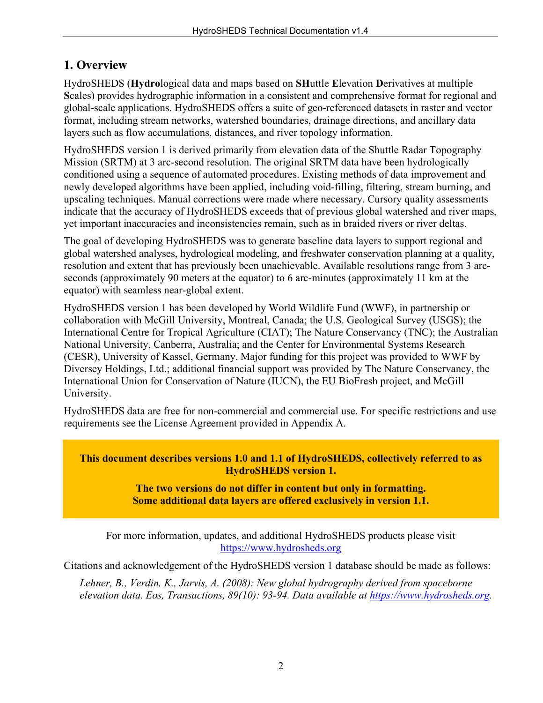## **1. Overview**

HydroSHEDS (**Hydro**logical data and maps based on **SH**uttle **E**levation **D**erivatives at multiple **S**cales) provides hydrographic information in a consistent and comprehensive format for regional and global-scale applications. HydroSHEDS offers a suite of geo-referenced datasets in raster and vector format, including stream networks, watershed boundaries, drainage directions, and ancillary data layers such as flow accumulations, distances, and river topology information.

HydroSHEDS version 1 is derived primarily from elevation data of the Shuttle Radar Topography Mission (SRTM) at 3 arc-second resolution. The original SRTM data have been hydrologically conditioned using a sequence of automated procedures. Existing methods of data improvement and newly developed algorithms have been applied, including void-filling, filtering, stream burning, and upscaling techniques. Manual corrections were made where necessary. Cursory quality assessments indicate that the accuracy of HydroSHEDS exceeds that of previous global watershed and river maps, yet important inaccuracies and inconsistencies remain, such as in braided rivers or river deltas.

The goal of developing HydroSHEDS was to generate baseline data layers to support regional and global watershed analyses, hydrological modeling, and freshwater conservation planning at a quality, resolution and extent that has previously been unachievable. Available resolutions range from 3 arcseconds (approximately 90 meters at the equator) to 6 arc-minutes (approximately 11 km at the equator) with seamless near-global extent.

HydroSHEDS version 1 has been developed by World Wildlife Fund (WWF), in partnership or collaboration with McGill University, Montreal, Canada; the U.S. Geological Survey (USGS); the International Centre for Tropical Agriculture (CIAT); The Nature Conservancy (TNC); the Australian National University, Canberra, Australia; and the Center for Environmental Systems Research (CESR), University of Kassel, Germany. Major funding for this project was provided to WWF by Diversey Holdings, Ltd.; additional financial support was provided by The Nature Conservancy, the International Union for Conservation of Nature (IUCN), the EU BioFresh project, and McGill University.

HydroSHEDS data are free for non-commercial and commercial use. For specific restrictions and use requirements see the License Agreement provided in Appendix A.

#### **This document describes versions 1.0 and 1.1 of HydroSHEDS, collectively referred to as HydroSHEDS version 1.**

#### **The two versions do not differ in content but only in formatting. Some additional data layers are offered exclusively in version 1.1.**

For more information, updates, and additional HydroSHEDS products please visit [https://www.hydrosheds.org](https://www.hydrosheds.org/)

Citations and acknowledgement of the HydroSHEDS version 1 database should be made as follows:

*Lehner, B., Verdin, K., Jarvis, A. (2008): New global hydrography derived from spaceborne elevation data. Eos, Transactions, 89(10): 93-94. Data available at [https://www.hydrosheds.org.](https://www.hydrosheds.org/)*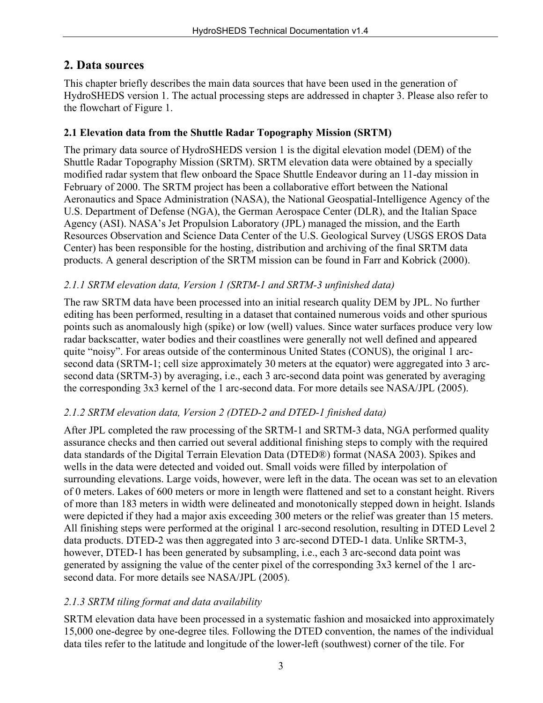## **2. Data sources**

This chapter briefly describes the main data sources that have been used in the generation of HydroSHEDS version 1. The actual processing steps are addressed in chapter 3. Please also refer to the flowchart of Figure 1.

### **2.1 Elevation data from the Shuttle Radar Topography Mission (SRTM)**

The primary data source of HydroSHEDS version 1 is the digital elevation model (DEM) of the Shuttle Radar Topography Mission (SRTM). SRTM elevation data were obtained by a specially modified radar system that flew onboard the Space Shuttle Endeavor during an 11-day mission in February of 2000. The SRTM project has been a collaborative effort between the National Aeronautics and Space Administration (NASA), the National Geospatial-Intelligence Agency of the U.S. Department of Defense (NGA), the German Aerospace Center (DLR), and the Italian Space Agency (ASI). NASA's Jet Propulsion Laboratory (JPL) managed the mission, and the Earth Resources Observation and Science Data Center of the U.S. Geological Survey (USGS EROS Data Center) has been responsible for the hosting, distribution and archiving of the final SRTM data products. A general description of the SRTM mission can be found in Farr and Kobrick (2000).

#### *2.1.1 SRTM elevation data, Version 1 (SRTM-1 and SRTM-3 unfinished data)*

The raw SRTM data have been processed into an initial research quality DEM by JPL. No further editing has been performed, resulting in a dataset that contained numerous voids and other spurious points such as anomalously high (spike) or low (well) values. Since water surfaces produce very low radar backscatter, water bodies and their coastlines were generally not well defined and appeared quite "noisy". For areas outside of the conterminous United States (CONUS), the original 1 arcsecond data (SRTM-1; cell size approximately 30 meters at the equator) were aggregated into 3 arcsecond data (SRTM-3) by averaging, i.e., each 3 arc-second data point was generated by averaging the corresponding 3x3 kernel of the 1 arc-second data. For more details see NASA/JPL (2005).

### *2.1.2 SRTM elevation data, Version 2 (DTED-2 and DTED-1 finished data)*

After JPL completed the raw processing of the SRTM-1 and SRTM-3 data, NGA performed quality assurance checks and then carried out several additional finishing steps to comply with the required data standards of the Digital Terrain Elevation Data (DTED®) format (NASA 2003). Spikes and wells in the data were detected and voided out. Small voids were filled by interpolation of surrounding elevations. Large voids, however, were left in the data. The ocean was set to an elevation of 0 meters. Lakes of 600 meters or more in length were flattened and set to a constant height. Rivers of more than 183 meters in width were delineated and monotonically stepped down in height. Islands were depicted if they had a major axis exceeding 300 meters or the relief was greater than 15 meters. All finishing steps were performed at the original 1 arc-second resolution, resulting in DTED Level 2 data products. DTED-2 was then aggregated into 3 arc-second DTED-1 data. Unlike SRTM-3, however, DTED-1 has been generated by subsampling, i.e., each 3 arc-second data point was generated by assigning the value of the center pixel of the corresponding 3x3 kernel of the 1 arcsecond data. For more details see NASA/JPL (2005).

### *2.1.3 SRTM tiling format and data availability*

SRTM elevation data have been processed in a systematic fashion and mosaicked into approximately 15,000 one-degree by one-degree tiles. Following the DTED convention, the names of the individual data tiles refer to the latitude and longitude of the lower-left (southwest) corner of the tile. For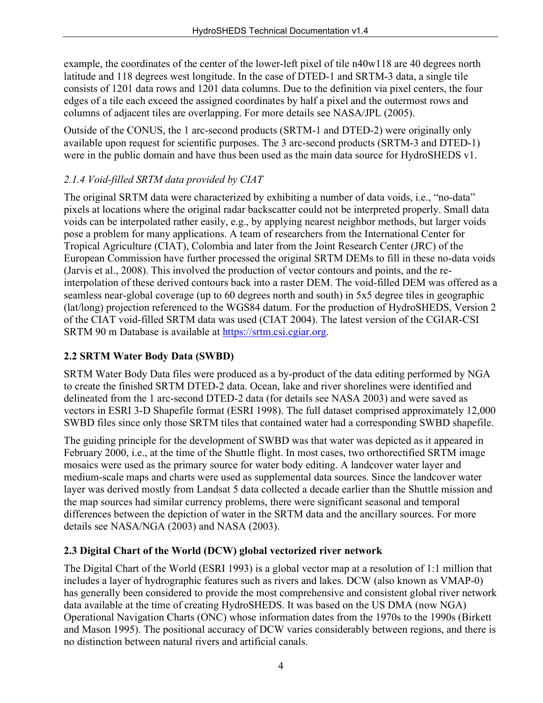example, the coordinates of the center of the lower-left pixel of tile n40w118 are 40 degrees north latitude and 118 degrees west longitude. In the case of DTED-1 and SRTM-3 data, a single tile consists of 1201 data rows and 1201 data columns. Due to the definition via pixel centers, the four edges of a tile each exceed the assigned coordinates by half a pixel and the outermost rows and columns of adjacent tiles are overlapping. For more details see NASA/JPL (2005).

Outside of the CONUS, the 1 arc-second products (SRTM-1 and DTED-2) were originally only available upon request for scientific purposes. The 3 arc-second products (SRTM-3 and DTED-1) were in the public domain and have thus been used as the main data source for HydroSHEDS v1.

### *2.1.4 Void-filled SRTM data provided by CIAT*

The original SRTM data were characterized by exhibiting a number of data voids, i.e., "no-data" pixels at locations where the original radar backscatter could not be interpreted properly. Small data voids can be interpolated rather easily, e.g., by applying nearest neighbor methods, but larger voids pose a problem for many applications. A team of researchers from the International Center for Tropical Agriculture (CIAT), Colombia and later from the Joint Research Center (JRC) of the European Commission have further processed the original SRTM DEMs to fill in these no-data voids (Jarvis et al., 2008). This involved the production of vector contours and points, and the reinterpolation of these derived contours back into a raster DEM. The void-filled DEM was offered as a seamless near-global coverage (up to 60 degrees north and south) in 5x5 degree tiles in geographic (lat/long) projection referenced to the WGS84 datum. For the production of HydroSHEDS, Version 2 of the CIAT void-filled SRTM data was used (CIAT 2004). The latest version of the CGIAR-CSI SRTM 90 m Database is available at [https://srtm.csi.cgiar.org.](https://srtm.csi.cgiar.org/)

### **2.2 SRTM Water Body Data (SWBD)**

SRTM Water Body Data files were produced as a by-product of the data editing performed by NGA to create the finished SRTM DTED-2 data. Ocean, lake and river shorelines were identified and delineated from the 1 arc-second DTED-2 data (for details see NASA 2003) and were saved as vectors in ESRI 3-D Shapefile format (ESRI 1998). The full dataset comprised approximately 12,000 SWBD files since only those SRTM tiles that contained water had a corresponding SWBD shapefile.

The guiding principle for the development of SWBD was that water was depicted as it appeared in February 2000, i.e., at the time of the Shuttle flight. In most cases, two orthorectified SRTM image mosaics were used as the primary source for water body editing. A landcover water layer and medium-scale maps and charts were used as supplemental data sources. Since the landcover water layer was derived mostly from Landsat 5 data collected a decade earlier than the Shuttle mission and the map sources had similar currency problems, there were significant seasonal and temporal differences between the depiction of water in the SRTM data and the ancillary sources. For more details see NASA/NGA (2003) and NASA (2003).

### **2.3 Digital Chart of the World (DCW) global vectorized river network**

The Digital Chart of the World (ESRI 1993) is a global vector map at a resolution of 1:1 million that includes a layer of hydrographic features such as rivers and lakes. DCW (also known as VMAP-0) has generally been considered to provide the most comprehensive and consistent global river network data available at the time of creating HydroSHEDS. It was based on the US DMA (now NGA) Operational Navigation Charts (ONC) whose information dates from the 1970s to the 1990s (Birkett and Mason 1995). The positional accuracy of DCW varies considerably between regions, and there is no distinction between natural rivers and artificial canals.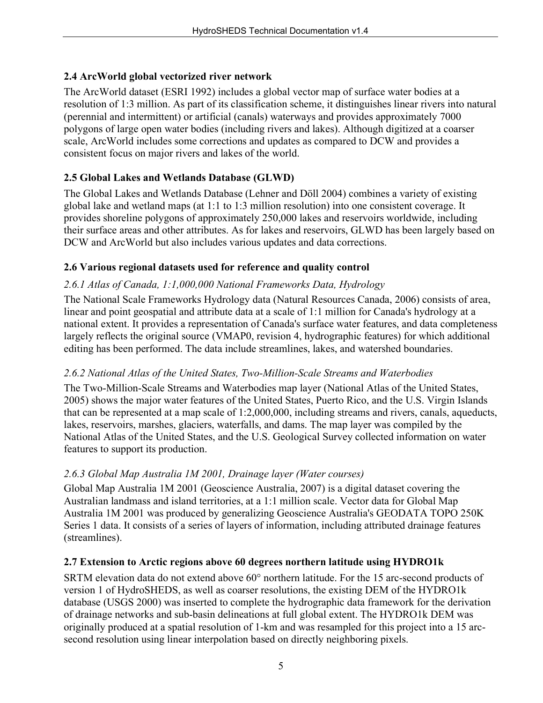### **2.4 ArcWorld global vectorized river network**

The ArcWorld dataset (ESRI 1992) includes a global vector map of surface water bodies at a resolution of 1:3 million. As part of its classification scheme, it distinguishes linear rivers into natural (perennial and intermittent) or artificial (canals) waterways and provides approximately 7000 polygons of large open water bodies (including rivers and lakes). Although digitized at a coarser scale, ArcWorld includes some corrections and updates as compared to DCW and provides a consistent focus on major rivers and lakes of the world.

## **2.5 Global Lakes and Wetlands Database (GLWD)**

The Global Lakes and Wetlands Database (Lehner and Döll 2004) combines a variety of existing global lake and wetland maps (at 1:1 to 1:3 million resolution) into one consistent coverage. It provides shoreline polygons of approximately 250,000 lakes and reservoirs worldwide, including their surface areas and other attributes. As for lakes and reservoirs, GLWD has been largely based on DCW and ArcWorld but also includes various updates and data corrections.

### **2.6 Various regional datasets used for reference and quality control**

### *2.6.1 Atlas of Canada, 1:1,000,000 National Frameworks Data, Hydrology*

The National Scale Frameworks Hydrology data (Natural Resources Canada, 2006) consists of area, linear and point geospatial and attribute data at a scale of 1:1 million for Canada's hydrology at a national extent. It provides a representation of Canada's surface water features, and data completeness largely reflects the original source (VMAP0, revision 4, hydrographic features) for which additional editing has been performed. The data include streamlines, lakes, and watershed boundaries.

### *2.6.2 National Atlas of the United States, Two-Million-Scale Streams and Waterbodies*

The Two-Million-Scale Streams and Waterbodies map layer (National Atlas of the United States, 2005) shows the major water features of the United States, Puerto Rico, and the U.S. Virgin Islands that can be represented at a map scale of 1:2,000,000, including streams and rivers, canals, aqueducts, lakes, reservoirs, marshes, glaciers, waterfalls, and dams. The map layer was compiled by the National Atlas of the United States, and the U.S. Geological Survey collected information on water features to support its production.

### *2.6.3 Global Map Australia 1M 2001, Drainage layer (Water courses)*

Global Map Australia 1M 2001 (Geoscience Australia, 2007) is a digital dataset covering the Australian landmass and island territories, at a 1:1 million scale. Vector data for Global Map Australia 1M 2001 was produced by generalizing Geoscience Australia's GEODATA TOPO 250K Series 1 data. It consists of a series of layers of information, including attributed drainage features (streamlines).

### **2.7 Extension to Arctic regions above 60 degrees northern latitude using HYDRO1k**

SRTM elevation data do not extend above 60° northern latitude. For the 15 arc-second products of version 1 of HydroSHEDS, as well as coarser resolutions, the existing DEM of the HYDRO1k database (USGS 2000) was inserted to complete the hydrographic data framework for the derivation of drainage networks and sub-basin delineations at full global extent. The HYDRO1k DEM was originally produced at a spatial resolution of 1-km and was resampled for this project into a 15 arcsecond resolution using linear interpolation based on directly neighboring pixels.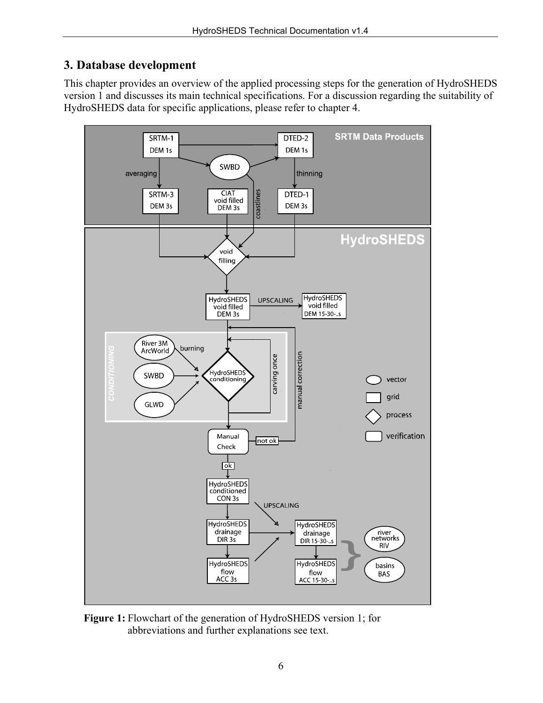## **3. Database development**

This chapter provides an overview of the applied processing steps for the generation of HydroSHEDS version 1 and discusses its main technical specifications. For a discussion regarding the suitability of HydroSHEDS data for specific applications, please refer to chapter 4.



**Figure 1:** Flowchart of the generation of HydroSHEDS version 1; for abbreviations and further explanations see text.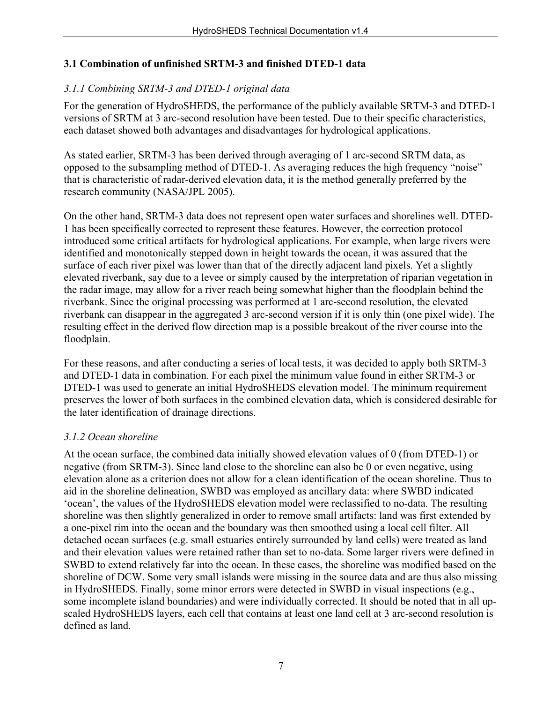### **3.1 Combination of unfinished SRTM-3 and finished DTED-1 data**

### *3.1.1 Combining SRTM-3 and DTED-1 original data*

For the generation of HydroSHEDS, the performance of the publicly available SRTM-3 and DTED-1 versions of SRTM at 3 arc-second resolution have been tested. Due to their specific characteristics, each dataset showed both advantages and disadvantages for hydrological applications.

As stated earlier, SRTM-3 has been derived through averaging of 1 arc-second SRTM data, as opposed to the subsampling method of DTED-1. As averaging reduces the high frequency "noise" that is characteristic of radar-derived elevation data, it is the method generally preferred by the research community (NASA/JPL 2005).

On the other hand, SRTM-3 data does not represent open water surfaces and shorelines well. DTED-1 has been specifically corrected to represent these features. However, the correction protocol introduced some critical artifacts for hydrological applications. For example, when large rivers were identified and monotonically stepped down in height towards the ocean, it was assured that the surface of each river pixel was lower than that of the directly adjacent land pixels. Yet a slightly elevated riverbank, say due to a levee or simply caused by the interpretation of riparian vegetation in the radar image, may allow for a river reach being somewhat higher than the floodplain behind the riverbank. Since the original processing was performed at 1 arc-second resolution, the elevated riverbank can disappear in the aggregated 3 arc-second version if it is only thin (one pixel wide). The resulting effect in the derived flow direction map is a possible breakout of the river course into the floodplain.

For these reasons, and after conducting a series of local tests, it was decided to apply both SRTM-3 and DTED-1 data in combination. For each pixel the minimum value found in either SRTM-3 or DTED-1 was used to generate an initial HydroSHEDS elevation model. The minimum requirement preserves the lower of both surfaces in the combined elevation data, which is considered desirable for the later identification of drainage directions.

#### *3.1.2 Ocean shoreline*

At the ocean surface, the combined data initially showed elevation values of 0 (from DTED-1) or negative (from SRTM-3). Since land close to the shoreline can also be 0 or even negative, using elevation alone as a criterion does not allow for a clean identification of the ocean shoreline. Thus to aid in the shoreline delineation, SWBD was employed as ancillary data: where SWBD indicated 'ocean', the values of the HydroSHEDS elevation model were reclassified to no-data. The resulting shoreline was then slightly generalized in order to remove small artifacts: land was first extended by a one-pixel rim into the ocean and the boundary was then smoothed using a local cell filter. All detached ocean surfaces (e.g. small estuaries entirely surrounded by land cells) were treated as land and their elevation values were retained rather than set to no-data. Some larger rivers were defined in SWBD to extend relatively far into the ocean. In these cases, the shoreline was modified based on the shoreline of DCW. Some very small islands were missing in the source data and are thus also missing in HydroSHEDS. Finally, some minor errors were detected in SWBD in visual inspections (e.g., some incomplete island boundaries) and were individually corrected. It should be noted that in all upscaled HydroSHEDS layers, each cell that contains at least one land cell at 3 arc-second resolution is defined as land.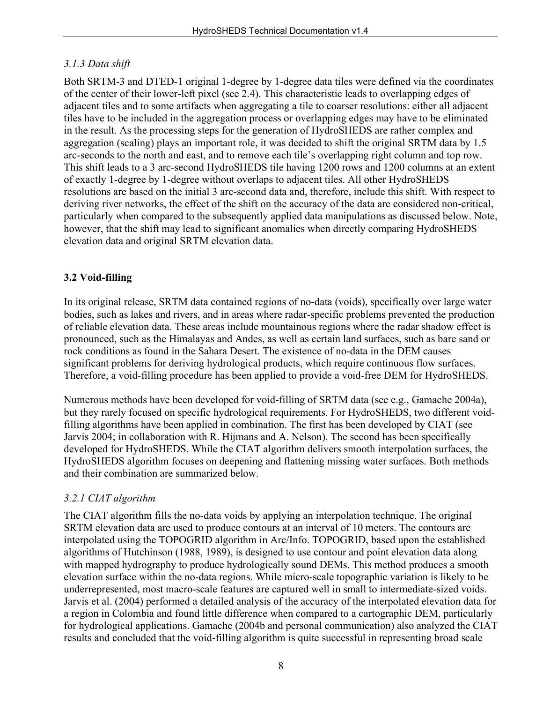### *3.1.3 Data shift*

Both SRTM-3 and DTED-1 original 1-degree by 1-degree data tiles were defined via the coordinates of the center of their lower-left pixel (see 2.4). This characteristic leads to overlapping edges of adjacent tiles and to some artifacts when aggregating a tile to coarser resolutions: either all adjacent tiles have to be included in the aggregation process or overlapping edges may have to be eliminated in the result. As the processing steps for the generation of HydroSHEDS are rather complex and aggregation (scaling) plays an important role, it was decided to shift the original SRTM data by 1.5 arc-seconds to the north and east, and to remove each tile's overlapping right column and top row. This shift leads to a 3 arc-second HydroSHEDS tile having 1200 rows and 1200 columns at an extent of exactly 1-degree by 1-degree without overlaps to adjacent tiles. All other HydroSHEDS resolutions are based on the initial 3 arc-second data and, therefore, include this shift. With respect to deriving river networks, the effect of the shift on the accuracy of the data are considered non-critical, particularly when compared to the subsequently applied data manipulations as discussed below. Note, however, that the shift may lead to significant anomalies when directly comparing HydroSHEDS elevation data and original SRTM elevation data.

### **3.2 Void-filling**

In its original release, SRTM data contained regions of no-data (voids), specifically over large water bodies, such as lakes and rivers, and in areas where radar-specific problems prevented the production of reliable elevation data. These areas include mountainous regions where the radar shadow effect is pronounced, such as the Himalayas and Andes, as well as certain land surfaces, such as bare sand or rock conditions as found in the Sahara Desert. The existence of no-data in the DEM causes significant problems for deriving hydrological products, which require continuous flow surfaces. Therefore, a void-filling procedure has been applied to provide a void-free DEM for HydroSHEDS.

Numerous methods have been developed for void-filling of SRTM data (see e.g., Gamache 2004a), but they rarely focused on specific hydrological requirements. For HydroSHEDS, two different voidfilling algorithms have been applied in combination. The first has been developed by CIAT (see Jarvis 2004; in collaboration with R. Hijmans and A. Nelson). The second has been specifically developed for HydroSHEDS. While the CIAT algorithm delivers smooth interpolation surfaces, the HydroSHEDS algorithm focuses on deepening and flattening missing water surfaces. Both methods and their combination are summarized below.

## *3.2.1 CIAT algorithm*

The CIAT algorithm fills the no-data voids by applying an interpolation technique. The original SRTM elevation data are used to produce contours at an interval of 10 meters. The contours are interpolated using the TOPOGRID algorithm in Arc/Info. TOPOGRID, based upon the established algorithms of Hutchinson (1988, 1989), is designed to use contour and point elevation data along with mapped hydrography to produce hydrologically sound DEMs. This method produces a smooth elevation surface within the no-data regions. While micro-scale topographic variation is likely to be underrepresented, most macro-scale features are captured well in small to intermediate-sized voids. Jarvis et al. (2004) performed a detailed analysis of the accuracy of the interpolated elevation data for a region in Colombia and found little difference when compared to a cartographic DEM, particularly for hydrological applications. Gamache (2004b and personal communication) also analyzed the CIAT results and concluded that the void-filling algorithm is quite successful in representing broad scale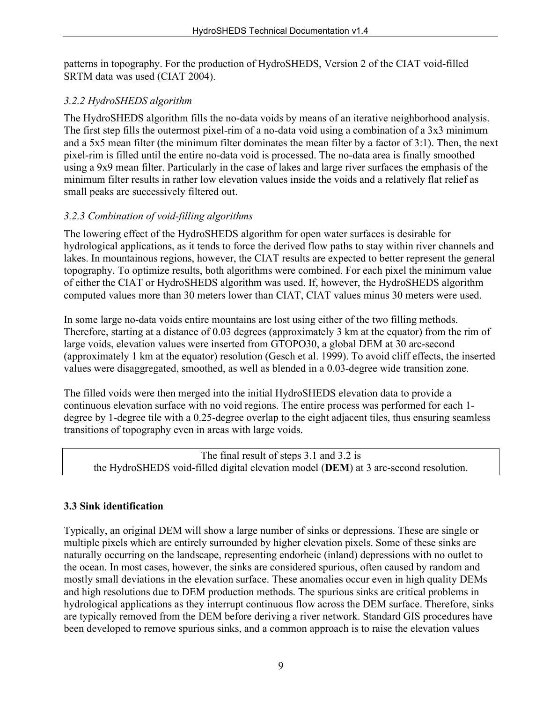patterns in topography. For the production of HydroSHEDS, Version 2 of the CIAT void-filled SRTM data was used (CIAT 2004).

### *3.2.2 HydroSHEDS algorithm*

The HydroSHEDS algorithm fills the no-data voids by means of an iterative neighborhood analysis. The first step fills the outermost pixel-rim of a no-data void using a combination of a 3x3 minimum and a 5x5 mean filter (the minimum filter dominates the mean filter by a factor of 3:1). Then, the next pixel-rim is filled until the entire no-data void is processed. The no-data area is finally smoothed using a 9x9 mean filter. Particularly in the case of lakes and large river surfaces the emphasis of the minimum filter results in rather low elevation values inside the voids and a relatively flat relief as small peaks are successively filtered out.

### *3.2.3 Combination of void-filling algorithms*

The lowering effect of the HydroSHEDS algorithm for open water surfaces is desirable for hydrological applications, as it tends to force the derived flow paths to stay within river channels and lakes. In mountainous regions, however, the CIAT results are expected to better represent the general topography. To optimize results, both algorithms were combined. For each pixel the minimum value of either the CIAT or HydroSHEDS algorithm was used. If, however, the HydroSHEDS algorithm computed values more than 30 meters lower than CIAT, CIAT values minus 30 meters were used.

In some large no-data voids entire mountains are lost using either of the two filling methods. Therefore, starting at a distance of 0.03 degrees (approximately 3 km at the equator) from the rim of large voids, elevation values were inserted from GTOPO30, a global DEM at 30 arc-second (approximately 1 km at the equator) resolution (Gesch et al. 1999). To avoid cliff effects, the inserted values were disaggregated, smoothed, as well as blended in a 0.03-degree wide transition zone.

The filled voids were then merged into the initial HydroSHEDS elevation data to provide a continuous elevation surface with no void regions. The entire process was performed for each 1 degree by 1-degree tile with a 0.25-degree overlap to the eight adjacent tiles, thus ensuring seamless transitions of topography even in areas with large voids.

```
The final result of steps 3.1 and 3.2 is 
the HydroSHEDS void-filled digital elevation model (DEM) at 3 arc-second resolution.
```
### **3.3 Sink identification**

Typically, an original DEM will show a large number of sinks or depressions. These are single or multiple pixels which are entirely surrounded by higher elevation pixels. Some of these sinks are naturally occurring on the landscape, representing endorheic (inland) depressions with no outlet to the ocean. In most cases, however, the sinks are considered spurious, often caused by random and mostly small deviations in the elevation surface. These anomalies occur even in high quality DEMs and high resolutions due to DEM production methods. The spurious sinks are critical problems in hydrological applications as they interrupt continuous flow across the DEM surface. Therefore, sinks are typically removed from the DEM before deriving a river network. Standard GIS procedures have been developed to remove spurious sinks, and a common approach is to raise the elevation values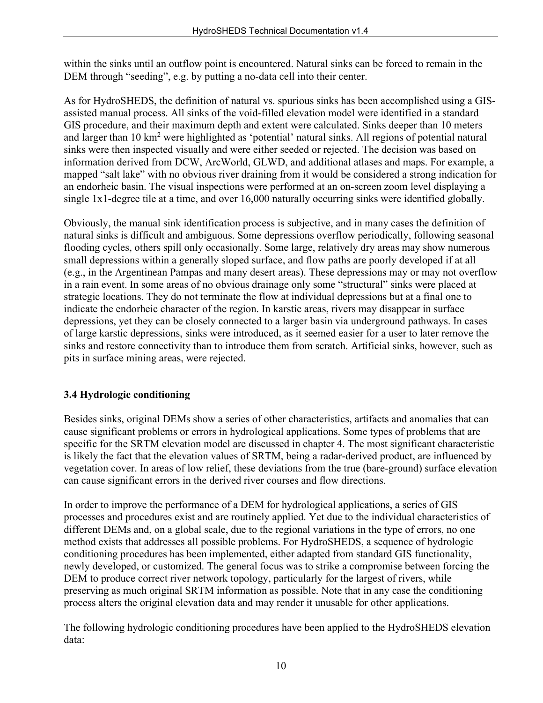within the sinks until an outflow point is encountered. Natural sinks can be forced to remain in the DEM through "seeding", e.g. by putting a no-data cell into their center.

As for HydroSHEDS, the definition of natural vs. spurious sinks has been accomplished using a GISassisted manual process. All sinks of the void-filled elevation model were identified in a standard GIS procedure, and their maximum depth and extent were calculated. Sinks deeper than 10 meters and larger than 10 km<sup>2</sup> were highlighted as 'potential' natural sinks. All regions of potential natural sinks were then inspected visually and were either seeded or rejected. The decision was based on information derived from DCW, ArcWorld, GLWD, and additional atlases and maps. For example, a mapped "salt lake" with no obvious river draining from it would be considered a strong indication for an endorheic basin. The visual inspections were performed at an on-screen zoom level displaying a single 1x1-degree tile at a time, and over 16,000 naturally occurring sinks were identified globally.

Obviously, the manual sink identification process is subjective, and in many cases the definition of natural sinks is difficult and ambiguous. Some depressions overflow periodically, following seasonal flooding cycles, others spill only occasionally. Some large, relatively dry areas may show numerous small depressions within a generally sloped surface, and flow paths are poorly developed if at all (e.g., in the Argentinean Pampas and many desert areas). These depressions may or may not overflow in a rain event. In some areas of no obvious drainage only some "structural" sinks were placed at strategic locations. They do not terminate the flow at individual depressions but at a final one to indicate the endorheic character of the region. In karstic areas, rivers may disappear in surface depressions, yet they can be closely connected to a larger basin via underground pathways. In cases of large karstic depressions, sinks were introduced, as it seemed easier for a user to later remove the sinks and restore connectivity than to introduce them from scratch. Artificial sinks, however, such as pits in surface mining areas, were rejected.

### **3.4 Hydrologic conditioning**

Besides sinks, original DEMs show a series of other characteristics, artifacts and anomalies that can cause significant problems or errors in hydrological applications. Some types of problems that are specific for the SRTM elevation model are discussed in chapter 4. The most significant characteristic is likely the fact that the elevation values of SRTM, being a radar-derived product, are influenced by vegetation cover. In areas of low relief, these deviations from the true (bare-ground) surface elevation can cause significant errors in the derived river courses and flow directions.

In order to improve the performance of a DEM for hydrological applications, a series of GIS processes and procedures exist and are routinely applied. Yet due to the individual characteristics of different DEMs and, on a global scale, due to the regional variations in the type of errors, no one method exists that addresses all possible problems. For HydroSHEDS, a sequence of hydrologic conditioning procedures has been implemented, either adapted from standard GIS functionality, newly developed, or customized. The general focus was to strike a compromise between forcing the DEM to produce correct river network topology, particularly for the largest of rivers, while preserving as much original SRTM information as possible. Note that in any case the conditioning process alters the original elevation data and may render it unusable for other applications.

The following hydrologic conditioning procedures have been applied to the HydroSHEDS elevation data: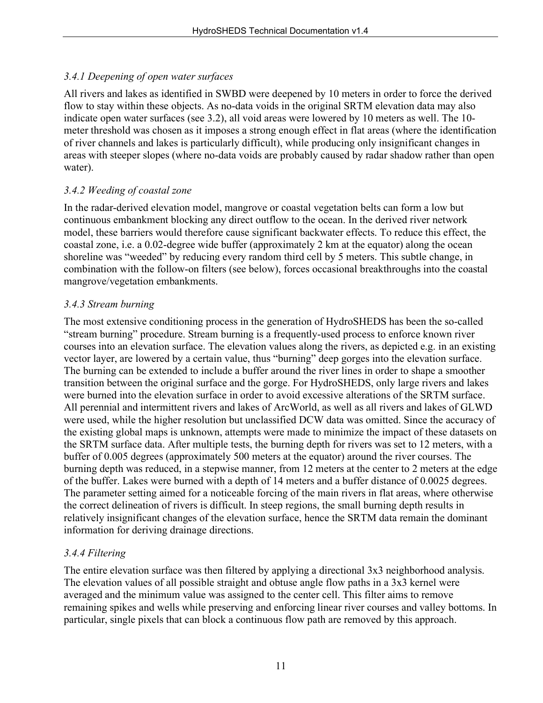### *3.4.1 Deepening of open water surfaces*

All rivers and lakes as identified in SWBD were deepened by 10 meters in order to force the derived flow to stay within these objects. As no-data voids in the original SRTM elevation data may also indicate open water surfaces (see 3.2), all void areas were lowered by 10 meters as well. The 10 meter threshold was chosen as it imposes a strong enough effect in flat areas (where the identification of river channels and lakes is particularly difficult), while producing only insignificant changes in areas with steeper slopes (where no-data voids are probably caused by radar shadow rather than open water).

#### *3.4.2 Weeding of coastal zone*

In the radar-derived elevation model, mangrove or coastal vegetation belts can form a low but continuous embankment blocking any direct outflow to the ocean. In the derived river network model, these barriers would therefore cause significant backwater effects. To reduce this effect, the coastal zone, i.e. a 0.02-degree wide buffer (approximately 2 km at the equator) along the ocean shoreline was "weeded" by reducing every random third cell by 5 meters. This subtle change, in combination with the follow-on filters (see below), forces occasional breakthroughs into the coastal mangrove/vegetation embankments.

#### *3.4.3 Stream burning*

The most extensive conditioning process in the generation of HydroSHEDS has been the so-called "stream burning" procedure. Stream burning is a frequently-used process to enforce known river courses into an elevation surface. The elevation values along the rivers, as depicted e.g. in an existing vector layer, are lowered by a certain value, thus "burning" deep gorges into the elevation surface. The burning can be extended to include a buffer around the river lines in order to shape a smoother transition between the original surface and the gorge. For HydroSHEDS, only large rivers and lakes were burned into the elevation surface in order to avoid excessive alterations of the SRTM surface. All perennial and intermittent rivers and lakes of ArcWorld, as well as all rivers and lakes of GLWD were used, while the higher resolution but unclassified DCW data was omitted. Since the accuracy of the existing global maps is unknown, attempts were made to minimize the impact of these datasets on the SRTM surface data. After multiple tests, the burning depth for rivers was set to 12 meters, with a buffer of 0.005 degrees (approximately 500 meters at the equator) around the river courses. The burning depth was reduced, in a stepwise manner, from 12 meters at the center to 2 meters at the edge of the buffer. Lakes were burned with a depth of 14 meters and a buffer distance of 0.0025 degrees. The parameter setting aimed for a noticeable forcing of the main rivers in flat areas, where otherwise the correct delineation of rivers is difficult. In steep regions, the small burning depth results in relatively insignificant changes of the elevation surface, hence the SRTM data remain the dominant information for deriving drainage directions.

#### *3.4.4 Filtering*

The entire elevation surface was then filtered by applying a directional 3x3 neighborhood analysis. The elevation values of all possible straight and obtuse angle flow paths in a 3x3 kernel were averaged and the minimum value was assigned to the center cell. This filter aims to remove remaining spikes and wells while preserving and enforcing linear river courses and valley bottoms. In particular, single pixels that can block a continuous flow path are removed by this approach.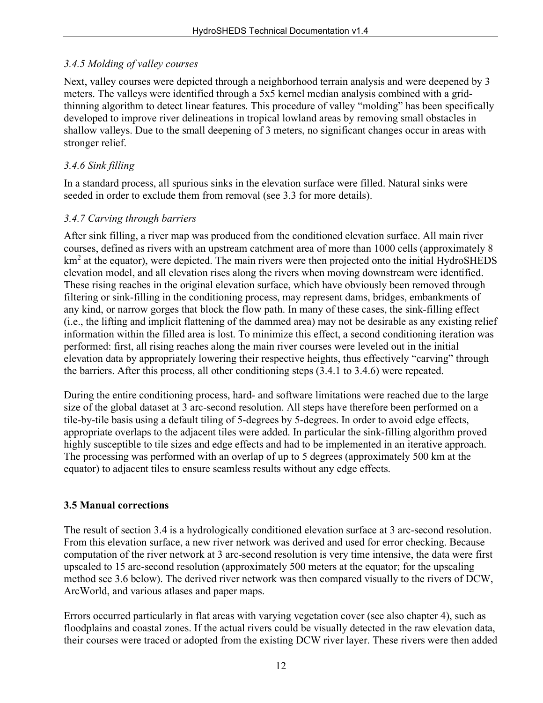### *3.4.5 Molding of valley courses*

Next, valley courses were depicted through a neighborhood terrain analysis and were deepened by 3 meters. The valleys were identified through a 5x5 kernel median analysis combined with a gridthinning algorithm to detect linear features. This procedure of valley "molding" has been specifically developed to improve river delineations in tropical lowland areas by removing small obstacles in shallow valleys. Due to the small deepening of 3 meters, no significant changes occur in areas with stronger relief.

## *3.4.6 Sink filling*

In a standard process, all spurious sinks in the elevation surface were filled. Natural sinks were seeded in order to exclude them from removal (see 3.3 for more details).

#### *3.4.7 Carving through barriers*

After sink filling, a river map was produced from the conditioned elevation surface. All main river courses, defined as rivers with an upstream catchment area of more than 1000 cells (approximately 8  $km<sup>2</sup>$  at the equator), were depicted. The main rivers were then projected onto the initial HydroSHEDS elevation model, and all elevation rises along the rivers when moving downstream were identified. These rising reaches in the original elevation surface, which have obviously been removed through filtering or sink-filling in the conditioning process, may represent dams, bridges, embankments of any kind, or narrow gorges that block the flow path. In many of these cases, the sink-filling effect (i.e., the lifting and implicit flattening of the dammed area) may not be desirable as any existing relief information within the filled area is lost. To minimize this effect, a second conditioning iteration was performed: first, all rising reaches along the main river courses were leveled out in the initial elevation data by appropriately lowering their respective heights, thus effectively "carving" through the barriers. After this process, all other conditioning steps (3.4.1 to 3.4.6) were repeated.

During the entire conditioning process, hard- and software limitations were reached due to the large size of the global dataset at 3 arc-second resolution. All steps have therefore been performed on a tile-by-tile basis using a default tiling of 5-degrees by 5-degrees. In order to avoid edge effects, appropriate overlaps to the adjacent tiles were added. In particular the sink-filling algorithm proved highly susceptible to tile sizes and edge effects and had to be implemented in an iterative approach. The processing was performed with an overlap of up to 5 degrees (approximately 500 km at the equator) to adjacent tiles to ensure seamless results without any edge effects.

### **3.5 Manual corrections**

The result of section 3.4 is a hydrologically conditioned elevation surface at 3 arc-second resolution. From this elevation surface, a new river network was derived and used for error checking. Because computation of the river network at 3 arc-second resolution is very time intensive, the data were first upscaled to 15 arc-second resolution (approximately 500 meters at the equator; for the upscaling method see 3.6 below). The derived river network was then compared visually to the rivers of DCW, ArcWorld, and various atlases and paper maps.

Errors occurred particularly in flat areas with varying vegetation cover (see also chapter 4), such as floodplains and coastal zones. If the actual rivers could be visually detected in the raw elevation data, their courses were traced or adopted from the existing DCW river layer. These rivers were then added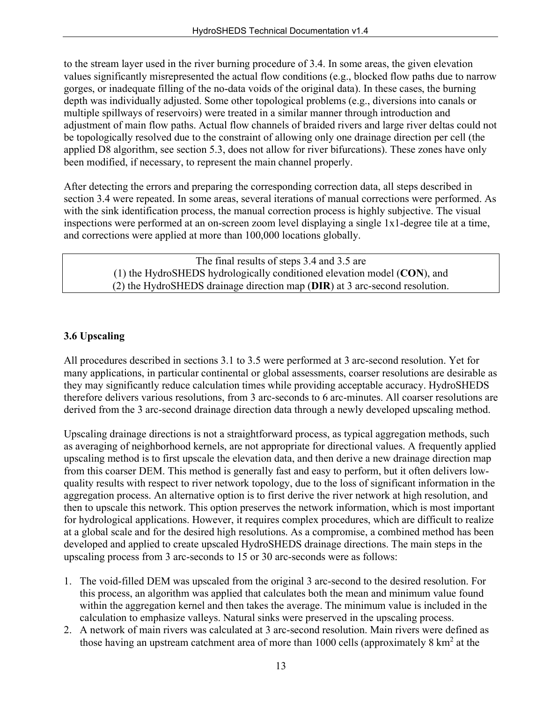to the stream layer used in the river burning procedure of 3.4. In some areas, the given elevation values significantly misrepresented the actual flow conditions (e.g., blocked flow paths due to narrow gorges, or inadequate filling of the no-data voids of the original data). In these cases, the burning depth was individually adjusted. Some other topological problems (e.g., diversions into canals or multiple spillways of reservoirs) were treated in a similar manner through introduction and adjustment of main flow paths. Actual flow channels of braided rivers and large river deltas could not be topologically resolved due to the constraint of allowing only one drainage direction per cell (the applied D8 algorithm, see section 5.3, does not allow for river bifurcations). These zones have only been modified, if necessary, to represent the main channel properly.

After detecting the errors and preparing the corresponding correction data, all steps described in section 3.4 were repeated. In some areas, several iterations of manual corrections were performed. As with the sink identification process, the manual correction process is highly subjective. The visual inspections were performed at an on-screen zoom level displaying a single 1x1-degree tile at a time, and corrections were applied at more than 100,000 locations globally.

> The final results of steps 3.4 and 3.5 are (1) the HydroSHEDS hydrologically conditioned elevation model (**CON**), and (2) the HydroSHEDS drainage direction map (**DIR**) at 3 arc-second resolution.

### **3.6 Upscaling**

All procedures described in sections 3.1 to 3.5 were performed at 3 arc-second resolution. Yet for many applications, in particular continental or global assessments, coarser resolutions are desirable as they may significantly reduce calculation times while providing acceptable accuracy. HydroSHEDS therefore delivers various resolutions, from 3 arc-seconds to 6 arc-minutes. All coarser resolutions are derived from the 3 arc-second drainage direction data through a newly developed upscaling method.

Upscaling drainage directions is not a straightforward process, as typical aggregation methods, such as averaging of neighborhood kernels, are not appropriate for directional values. A frequently applied upscaling method is to first upscale the elevation data, and then derive a new drainage direction map from this coarser DEM. This method is generally fast and easy to perform, but it often delivers lowquality results with respect to river network topology, due to the loss of significant information in the aggregation process. An alternative option is to first derive the river network at high resolution, and then to upscale this network. This option preserves the network information, which is most important for hydrological applications. However, it requires complex procedures, which are difficult to realize at a global scale and for the desired high resolutions. As a compromise, a combined method has been developed and applied to create upscaled HydroSHEDS drainage directions. The main steps in the upscaling process from 3 arc-seconds to 15 or 30 arc-seconds were as follows:

- 1. The void-filled DEM was upscaled from the original 3 arc-second to the desired resolution. For this process, an algorithm was applied that calculates both the mean and minimum value found within the aggregation kernel and then takes the average. The minimum value is included in the calculation to emphasize valleys. Natural sinks were preserved in the upscaling process.
- 2. A network of main rivers was calculated at 3 arc-second resolution. Main rivers were defined as those having an upstream catchment area of more than  $1000$  cells (approximately  $8 \text{ km}^2$  at the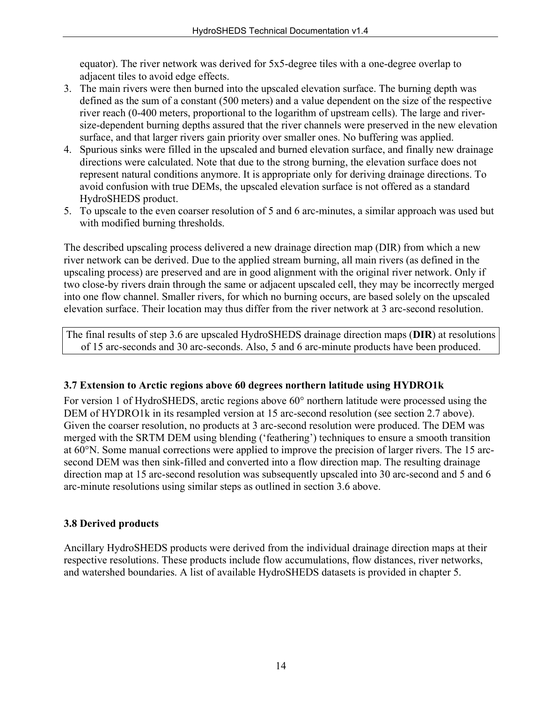equator). The river network was derived for 5x5-degree tiles with a one-degree overlap to adjacent tiles to avoid edge effects.

- 3. The main rivers were then burned into the upscaled elevation surface. The burning depth was defined as the sum of a constant (500 meters) and a value dependent on the size of the respective river reach (0-400 meters, proportional to the logarithm of upstream cells). The large and riversize-dependent burning depths assured that the river channels were preserved in the new elevation surface, and that larger rivers gain priority over smaller ones. No buffering was applied.
- 4. Spurious sinks were filled in the upscaled and burned elevation surface, and finally new drainage directions were calculated. Note that due to the strong burning, the elevation surface does not represent natural conditions anymore. It is appropriate only for deriving drainage directions. To avoid confusion with true DEMs, the upscaled elevation surface is not offered as a standard HydroSHEDS product.
- 5. To upscale to the even coarser resolution of 5 and 6 arc-minutes, a similar approach was used but with modified burning thresholds.

The described upscaling process delivered a new drainage direction map (DIR) from which a new river network can be derived. Due to the applied stream burning, all main rivers (as defined in the upscaling process) are preserved and are in good alignment with the original river network. Only if two close-by rivers drain through the same or adjacent upscaled cell, they may be incorrectly merged into one flow channel. Smaller rivers, for which no burning occurs, are based solely on the upscaled elevation surface. Their location may thus differ from the river network at 3 arc-second resolution.

The final results of step 3.6 are upscaled HydroSHEDS drainage direction maps (**DIR**) at resolutions of 15 arc-seconds and 30 arc-seconds. Also, 5 and 6 arc-minute products have been produced.

#### **3.7 Extension to Arctic regions above 60 degrees northern latitude using HYDRO1k**

For version 1 of HydroSHEDS, arctic regions above 60° northern latitude were processed using the DEM of HYDRO1k in its resampled version at 15 arc-second resolution (see section 2.7 above). Given the coarser resolution, no products at 3 arc-second resolution were produced. The DEM was merged with the SRTM DEM using blending ('feathering') techniques to ensure a smooth transition at 60°N. Some manual corrections were applied to improve the precision of larger rivers. The 15 arcsecond DEM was then sink-filled and converted into a flow direction map. The resulting drainage direction map at 15 arc-second resolution was subsequently upscaled into 30 arc-second and 5 and 6 arc-minute resolutions using similar steps as outlined in section 3.6 above.

### **3.8 Derived products**

Ancillary HydroSHEDS products were derived from the individual drainage direction maps at their respective resolutions. These products include flow accumulations, flow distances, river networks, and watershed boundaries. A list of available HydroSHEDS datasets is provided in chapter 5.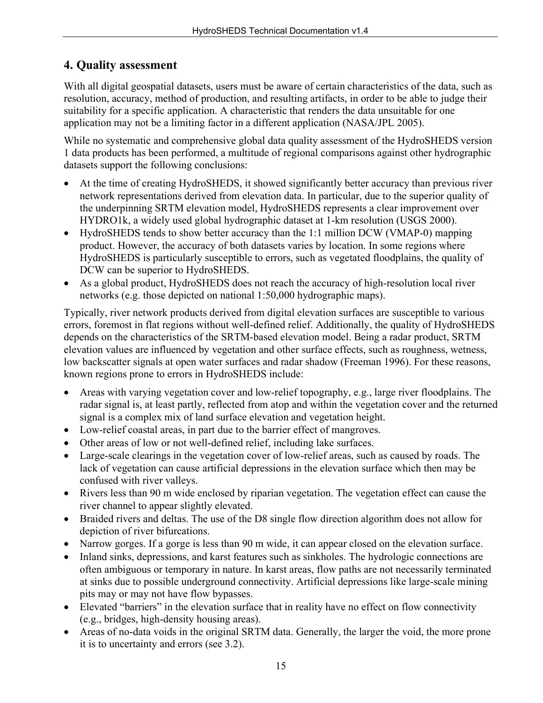## **4. Quality assessment**

With all digital geospatial datasets, users must be aware of certain characteristics of the data, such as resolution, accuracy, method of production, and resulting artifacts, in order to be able to judge their suitability for a specific application. A characteristic that renders the data unsuitable for one application may not be a limiting factor in a different application (NASA/JPL 2005).

While no systematic and comprehensive global data quality assessment of the HydroSHEDS version 1 data products has been performed, a multitude of regional comparisons against other hydrographic datasets support the following conclusions:

- At the time of creating HydroSHEDS, it showed significantly better accuracy than previous river network representations derived from elevation data. In particular, due to the superior quality of the underpinning SRTM elevation model, HydroSHEDS represents a clear improvement over HYDRO1k, a widely used global hydrographic dataset at 1-km resolution (USGS 2000).
- HydroSHEDS tends to show better accuracy than the 1:1 million DCW (VMAP-0) mapping product. However, the accuracy of both datasets varies by location. In some regions where HydroSHEDS is particularly susceptible to errors, such as vegetated floodplains, the quality of DCW can be superior to HydroSHEDS.
- As a global product, HydroSHEDS does not reach the accuracy of high-resolution local river networks (e.g. those depicted on national 1:50,000 hydrographic maps).

Typically, river network products derived from digital elevation surfaces are susceptible to various errors, foremost in flat regions without well-defined relief. Additionally, the quality of HydroSHEDS depends on the characteristics of the SRTM-based elevation model. Being a radar product, SRTM elevation values are influenced by vegetation and other surface effects, such as roughness, wetness, low backscatter signals at open water surfaces and radar shadow (Freeman 1996). For these reasons, known regions prone to errors in HydroSHEDS include:

- Areas with varying vegetation cover and low-relief topography, e.g., large river floodplains. The radar signal is, at least partly, reflected from atop and within the vegetation cover and the returned signal is a complex mix of land surface elevation and vegetation height.
- Low-relief coastal areas, in part due to the barrier effect of mangroves.
- Other areas of low or not well-defined relief, including lake surfaces.
- Large-scale clearings in the vegetation cover of low-relief areas, such as caused by roads. The lack of vegetation can cause artificial depressions in the elevation surface which then may be confused with river valleys.
- Rivers less than 90 m wide enclosed by riparian vegetation. The vegetation effect can cause the river channel to appear slightly elevated.
- Braided rivers and deltas. The use of the D8 single flow direction algorithm does not allow for depiction of river bifurcations.
- Narrow gorges. If a gorge is less than 90 m wide, it can appear closed on the elevation surface.
- Inland sinks, depressions, and karst features such as sinkholes. The hydrologic connections are often ambiguous or temporary in nature. In karst areas, flow paths are not necessarily terminated at sinks due to possible underground connectivity. Artificial depressions like large-scale mining pits may or may not have flow bypasses.
- Elevated "barriers" in the elevation surface that in reality have no effect on flow connectivity (e.g., bridges, high-density housing areas).
- Areas of no-data voids in the original SRTM data. Generally, the larger the void, the more prone it is to uncertainty and errors (see 3.2).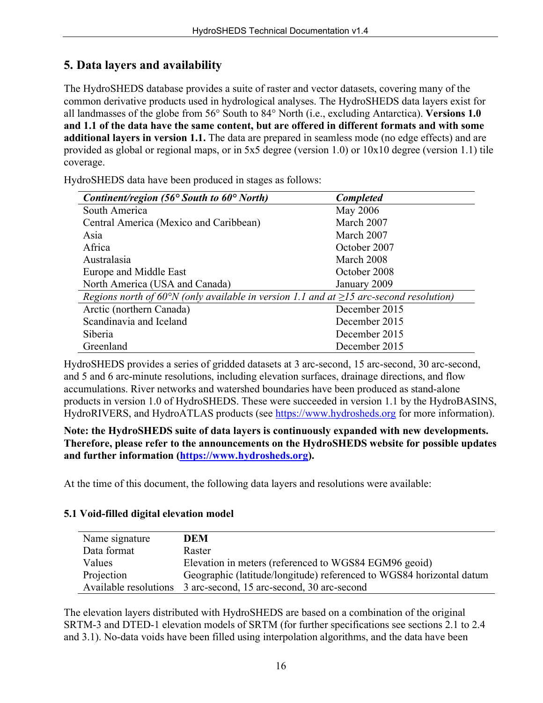## **5. Data layers and availability**

The HydroSHEDS database provides a suite of raster and vector datasets, covering many of the common derivative products used in hydrological analyses. The HydroSHEDS data layers exist for all landmasses of the globe from 56° South to 84° North (i.e., excluding Antarctica). **Versions 1.0 and 1.1 of the data have the same content, but are offered in different formats and with some additional layers in version 1.1.** The data are prepared in seamless mode (no edge effects) and are provided as global or regional maps, or in 5x5 degree (version 1.0) or 10x10 degree (version 1.1) tile coverage.

HydroSHEDS data have been produced in stages as follows:

| Continent/region (56 $\degree$ South to 60 $\degree$ North)                                  | <b>Completed</b> |
|----------------------------------------------------------------------------------------------|------------------|
| South America                                                                                | May 2006         |
| Central America (Mexico and Caribbean)                                                       | March 2007       |
| Asia                                                                                         | March 2007       |
| Africa                                                                                       | October 2007     |
| Australasia                                                                                  | March 2008       |
| Europe and Middle East                                                                       | October 2008     |
| North America (USA and Canada)<br>January 2009                                               |                  |
| Regions north of 60°N (only available in version 1.1 and at $\geq$ 15 arc-second resolution) |                  |
| Arctic (northern Canada)                                                                     | December 2015    |
| Scandinavia and Iceland                                                                      | December 2015    |
| Siberia                                                                                      | December 2015    |
| Greenland                                                                                    | December 2015    |

HydroSHEDS provides a series of gridded datasets at 3 arc-second, 15 arc-second, 30 arc-second, and 5 and 6 arc-minute resolutions, including elevation surfaces, drainage directions, and flow accumulations. River networks and watershed boundaries have been produced as stand-alone products in version 1.0 of HydroSHEDS. These were succeeded in version 1.1 by the HydroBASINS, HydroRIVERS, and HydroATLAS products (see [https://www.hydrosheds.org](https://www.hydrosheds.org/) for more information).

**Note: the HydroSHEDS suite of data layers is continuously expanded with new developments. Therefore, please refer to the announcements on the HydroSHEDS website for possible updates and further information [\(https://www.hydrosheds.org\)](https://www.hydrosheds.org/).** 

At the time of this document, the following data layers and resolutions were available:

#### **5.1 Void-filled digital elevation model**

| Name signature        | DEM                                                                  |
|-----------------------|----------------------------------------------------------------------|
| Data format           | Raster                                                               |
| Values                | Elevation in meters (referenced to WGS84 EGM96 geoid)                |
| Projection            | Geographic (latitude/longitude) referenced to WGS84 horizontal datum |
| Available resolutions | 3 arc-second, 15 arc-second, 30 arc-second                           |

The elevation layers distributed with HydroSHEDS are based on a combination of the original SRTM-3 and DTED-1 elevation models of SRTM (for further specifications see sections 2.1 to 2.4 and 3.1). No-data voids have been filled using interpolation algorithms, and the data have been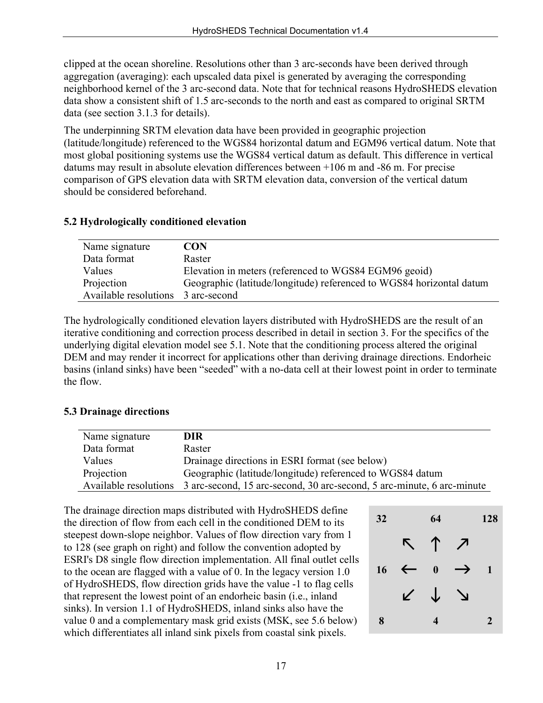clipped at the ocean shoreline. Resolutions other than 3 arc-seconds have been derived through aggregation (averaging): each upscaled data pixel is generated by averaging the corresponding neighborhood kernel of the 3 arc-second data. Note that for technical reasons HydroSHEDS elevation data show a consistent shift of 1.5 arc-seconds to the north and east as compared to original SRTM data (see section 3.1.3 for details).

The underpinning SRTM elevation data have been provided in geographic projection (latitude/longitude) referenced to the WGS84 horizontal datum and EGM96 vertical datum. Note that most global positioning systems use the WGS84 vertical datum as default. This difference in vertical datums may result in absolute elevation differences between +106 m and -86 m. For precise comparison of GPS elevation data with SRTM elevation data, conversion of the vertical datum should be considered beforehand.

#### **5.2 Hydrologically conditioned elevation**

| Name signature                     | <b>CON</b>                                                           |
|------------------------------------|----------------------------------------------------------------------|
| Data format                        | Raster                                                               |
| Values                             | Elevation in meters (referenced to WGS84 EGM96 geoid)                |
| Projection                         | Geographic (latitude/longitude) referenced to WGS84 horizontal datum |
| Available resolutions 3 arc-second |                                                                      |

The hydrologically conditioned elevation layers distributed with HydroSHEDS are the result of an iterative conditioning and correction process described in detail in section 3. For the specifics of the underlying digital elevation model see 5.1. Note that the conditioning process altered the original DEM and may render it incorrect for applications other than deriving drainage directions. Endorheic basins (inland sinks) have been "seeded" with a no-data cell at their lowest point in order to terminate the flow.

#### **5.3 Drainage directions**

| Name signature | DIR.                                                                                         |
|----------------|----------------------------------------------------------------------------------------------|
| Data format    | Raster                                                                                       |
| Values         | Drainage directions in ESRI format (see below)                                               |
| Projection     | Geographic (latitude/longitude) referenced to WGS84 datum                                    |
|                | Available resolutions 3 arc-second, 15 arc-second, 30 arc-second, 5 arc-minute, 6 arc-minute |

The drainage direction maps distributed with HydroSHEDS define the direction of flow from each cell in the conditioned DEM to its steepest down-slope neighbor. Values of flow direction vary from 1 to 128 (see graph on right) and follow the convention adopted by ESRI's D8 single flow direction implementation. All final outlet cells to the ocean are flagged with a value of 0. In the legacy version 1.0 of HydroSHEDS, flow direction grids have the value -1 to flag cells that represent the lowest point of an endorheic basin (i.e., inland sinks). In version 1.1 of HydroSHEDS, inland sinks also have the value 0 and a complementary mask grid exists (MSK, see 5.6 below) which differentiates all inland sink pixels from coastal sink pixels.

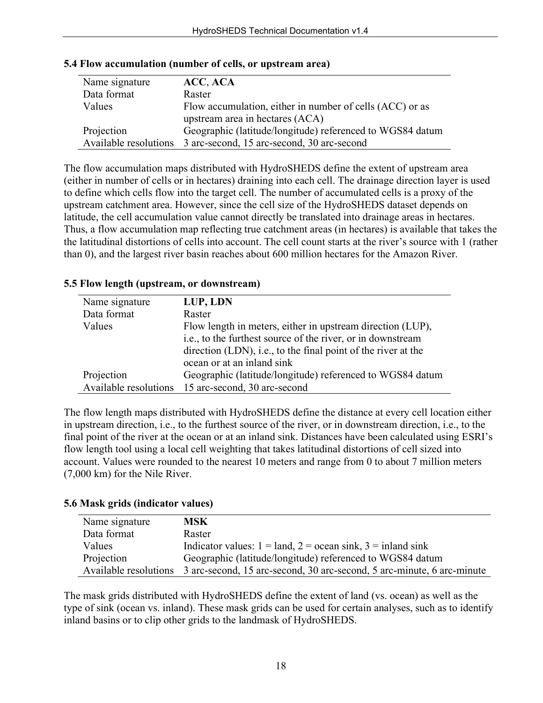| Name signature | ACC, ACA                                                         |  |
|----------------|------------------------------------------------------------------|--|
| Data format    | Raster                                                           |  |
| Values         | Flow accumulation, either in number of cells (ACC) or as         |  |
|                | upstream area in hectares (ACA)                                  |  |
| Projection     | Geographic (latitude/longitude) referenced to WGS84 datum        |  |
|                | Available resolutions 3 arc-second, 15 arc-second, 30 arc-second |  |

#### **5.4 Flow accumulation (number of cells, or upstream area)**

The flow accumulation maps distributed with HydroSHEDS define the extent of upstream area (either in number of cells or in hectares) draining into each cell. The drainage direction layer is used to define which cells flow into the target cell. The number of accumulated cells is a proxy of the upstream catchment area. However, since the cell size of the HydroSHEDS dataset depends on latitude, the cell accumulation value cannot directly be translated into drainage areas in hectares. Thus, a flow accumulation map reflecting true catchment areas (in hectares) is available that takes the the latitudinal distortions of cells into account. The cell count starts at the river's source with 1 (rather than 0), and the largest river basin reaches about 600 million hectares for the Amazon River.

#### **5.5 Flow length (upstream, or downstream)**

| Name signature | LUP, LDN                                                      |  |
|----------------|---------------------------------------------------------------|--|
| Data format    | Raster                                                        |  |
| Values         | Flow length in meters, either in upstream direction (LUP),    |  |
|                | i.e., to the furthest source of the river, or in downstream   |  |
|                | direction (LDN), i.e., to the final point of the river at the |  |
|                | ocean or at an inland sink                                    |  |
| Projection     | Geographic (latitude/longitude) referenced to WGS84 datum     |  |
|                | Available resolutions 15 arc-second, 30 arc-second            |  |

The flow length maps distributed with HydroSHEDS define the distance at every cell location either in upstream direction, i.e., to the furthest source of the river, or in downstream direction, i.e., to the final point of the river at the ocean or at an inland sink. Distances have been calculated using ESRI's flow length tool using a local cell weighting that takes latitudinal distortions of cell sized into account. Values were rounded to the nearest 10 meters and range from 0 to about 7 million meters (7,000 km) for the Nile River.

#### **5.6 Mask grids (indicator values)**

| Name signature        | <b>MSK</b>                                                             |
|-----------------------|------------------------------------------------------------------------|
| Data format           | Raster                                                                 |
| Values                | Indicator values: $1 =$ land, $2 =$ ocean sink, $3 =$ inland sink      |
| Projection            | Geographic (latitude/longitude) referenced to WGS84 datum              |
| Available resolutions | 3 arc-second, 15 arc-second, 30 arc-second, 5 arc-minute, 6 arc-minute |

The mask grids distributed with HydroSHEDS define the extent of land (vs. ocean) as well as the type of sink (ocean vs. inland). These mask grids can be used for certain analyses, such as to identify inland basins or to clip other grids to the landmask of HydroSHEDS.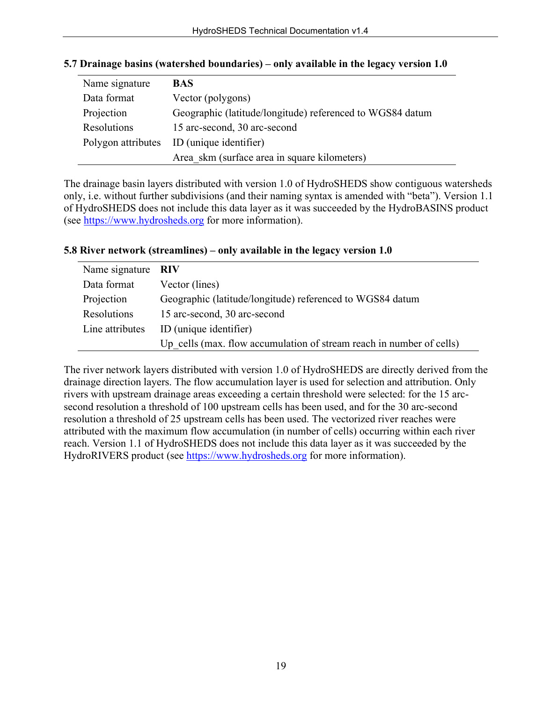| Name signature | <b>BAS</b>                                                |
|----------------|-----------------------------------------------------------|
| Data format    | Vector (polygons)                                         |
| Projection     | Geographic (latitude/longitude) referenced to WGS84 datum |
| Resolutions    | 15 arc-second, 30 arc-second                              |
|                | Polygon attributes ID (unique identifier)                 |
|                | Area skm (surface area in square kilometers)              |

#### **5.7 Drainage basins (watershed boundaries) – only available in the legacy version 1.0**

The drainage basin layers distributed with version 1.0 of HydroSHEDS show contiguous watersheds only, i.e. without further subdivisions (and their naming syntax is amended with "beta"). Version 1.1 of HydroSHEDS does not include this data layer as it was succeeded by the HydroBASINS product (see [https://www.hydrosheds.org](https://www.hydrosheds.org/) for more information).

## Name signature **RIV** Data format Vector (lines) Projection Geographic (latitude/longitude) referenced to WGS84 datum Resolutions 15 arc-second, 30 arc-second Line attributes ID (unique identifier) Up cells (max. flow accumulation of stream reach in number of cells)

#### **5.8 River network (streamlines) – only available in the legacy version 1.0**

The river network layers distributed with version 1.0 of HydroSHEDS are directly derived from the drainage direction layers. The flow accumulation layer is used for selection and attribution. Only rivers with upstream drainage areas exceeding a certain threshold were selected: for the 15 arcsecond resolution a threshold of 100 upstream cells has been used, and for the 30 arc-second resolution a threshold of 25 upstream cells has been used. The vectorized river reaches were attributed with the maximum flow accumulation (in number of cells) occurring within each river reach. Version 1.1 of HydroSHEDS does not include this data layer as it was succeeded by the HydroRIVERS product (see [https://www.hydrosheds.org](https://www.hydrosheds.org/) for more information).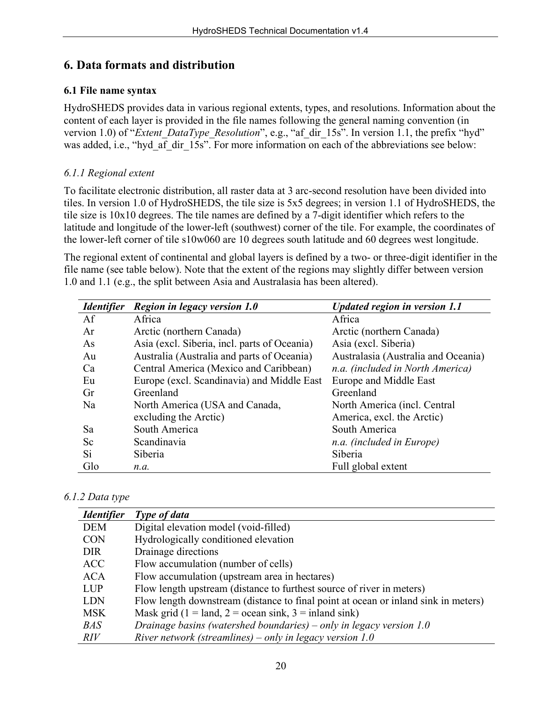## **6. Data formats and distribution**

#### **6.1 File name syntax**

HydroSHEDS provides data in various regional extents, types, and resolutions. Information about the content of each layer is provided in the file names following the general naming convention (in vervion 1.0) of "*Extent DataType Resolution*", e.g., "af dir 15s". In version 1.1, the prefix "hyd" was added, i.e., "hyd af dir 15s". For more information on each of the abbreviations see below:

### *6.1.1 Regional extent*

To facilitate electronic distribution, all raster data at 3 arc-second resolution have been divided into tiles. In version 1.0 of HydroSHEDS, the tile size is 5x5 degrees; in version 1.1 of HydroSHEDS, the tile size is 10x10 degrees. The tile names are defined by a 7-digit identifier which refers to the latitude and longitude of the lower-left (southwest) corner of the tile. For example, the coordinates of the lower-left corner of tile s10w060 are 10 degrees south latitude and 60 degrees west longitude.

The regional extent of continental and global layers is defined by a two- or three-digit identifier in the file name (see table below). Note that the extent of the regions may slightly differ between version 1.0 and 1.1 (e.g., the split between Asia and Australasia has been altered).

| <i><u><b>Identifier</b></u></i> | Region in legacy version 1.0                 | Updated region in version 1.1       |
|---------------------------------|----------------------------------------------|-------------------------------------|
| Af                              | Africa                                       | Africa                              |
| Ar                              | Arctic (northern Canada)                     | Arctic (northern Canada)            |
| As                              | Asia (excl. Siberia, incl. parts of Oceania) | Asia (excl. Siberia)                |
| Au                              | Australia (Australia and parts of Oceania)   | Australasia (Australia and Oceania) |
| Ca                              | Central America (Mexico and Caribbean)       | n.a. (included in North America)    |
| Eu                              | Europe (excl. Scandinavia) and Middle East   | Europe and Middle East              |
| Gr                              | Greenland                                    | Greenland                           |
| Na                              | North America (USA and Canada,               | North America (incl. Central        |
|                                 | excluding the Arctic)                        | America, excl. the Arctic)          |
| Sa                              | South America                                | South America                       |
| Sc                              | Scandinavia                                  | n.a. (included in Europe)           |
| Si                              | Siberia                                      | Siberia                             |
| Glo                             | n.a.                                         | Full global extent                  |

#### *6.1.2 Data type*

| <i><u><b>Identifier</b></u></i> | Type of data                                                                       |
|---------------------------------|------------------------------------------------------------------------------------|
| <b>DEM</b>                      | Digital elevation model (void-filled)                                              |
| <b>CON</b>                      | Hydrologically conditioned elevation                                               |
| <b>DIR</b>                      | Drainage directions                                                                |
| <b>ACC</b>                      | Flow accumulation (number of cells)                                                |
| <b>ACA</b>                      | Flow accumulation (upstream area in hectares)                                      |
| <b>LUP</b>                      | Flow length upstream (distance to furthest source of river in meters)              |
| <b>LDN</b>                      | Flow length downstream (distance to final point at ocean or inland sink in meters) |
| <b>MSK</b>                      | Mask grid (1 = land, 2 = ocean sink, 3 = inland sink)                              |
| <b>BAS</b>                      | Drainage basins (watershed boundaries) – only in legacy version 1.0                |
| <i>RIV</i>                      | River network (streamlines) – only in legacy version $1.0$                         |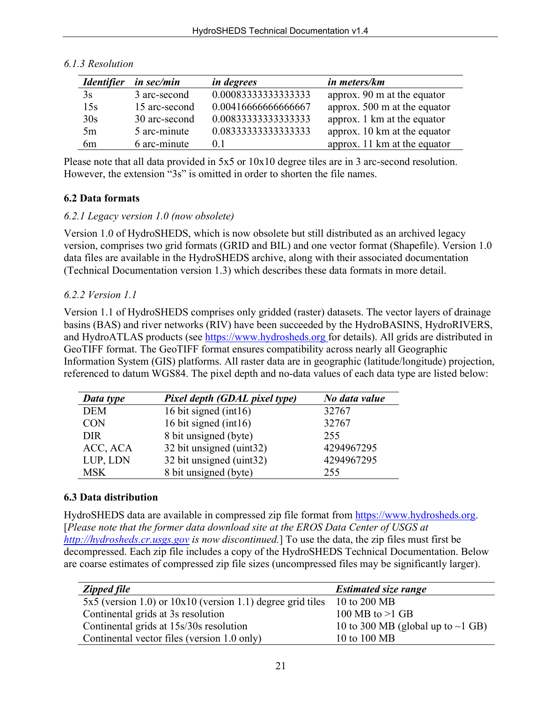| <i><u><b>Identifier</b></u></i> | in sec/min    | <i>in degrees</i>    | in meters/km                           |
|---------------------------------|---------------|----------------------|----------------------------------------|
| 3s                              | 3 arc-second  | 0.000833333333333333 | approx. $90 \text{ m}$ at the equator  |
| 15s                             | 15 arc-second | 0.00416666666666667  | approx. $500 \text{ m}$ at the equator |
| 30s                             | 30 arc-second | 0.00833333333333333  | approx. 1 km at the equator            |
| 5m                              | 5 arc-minute  | 0.08333333333333333  | approx. 10 km at the equator           |
| 6 <sub>m</sub>                  | 6 arc-minute  | 0.1                  | approx. 11 km at the equator           |

#### *6.1.3 Resolution*

Please note that all data provided in 5x5 or 10x10 degree tiles are in 3 arc-second resolution. However, the extension "3s" is omitted in order to shorten the file names.

#### **6.2 Data formats**

#### *6.2.1 Legacy version 1.0 (now obsolete)*

Version 1.0 of HydroSHEDS, which is now obsolete but still distributed as an archived legacy version, comprises two grid formats (GRID and BIL) and one vector format (Shapefile). Version 1.0 data files are available in the HydroSHEDS archive, along with their associated documentation (Technical Documentation version 1.3) which describes these data formats in more detail.

#### *6.2.2 Version 1.1*

Version 1.1 of HydroSHEDS comprises only gridded (raster) datasets. The vector layers of drainage basins (BAS) and river networks (RIV) have been succeeded by the HydroBASINS, HydroRIVERS, and HydroATLAS products (see [https://www.hydrosheds.org](https://www.hydrosheds.org/) for details). All grids are distributed in GeoTIFF format. The GeoTIFF format ensures compatibility across nearly all Geographic Information System (GIS) platforms. All raster data are in geographic (latitude/longitude) projection, referenced to datum WGS84. The pixel depth and no-data values of each data type are listed below:

| Data type  | Pixel depth (GDAL pixel type) |            |
|------------|-------------------------------|------------|
| <b>DEM</b> | 16 bit signed (int16)         | 32767      |
| <b>CON</b> | 16 bit signed (int16)         | 32767      |
| <b>DIR</b> | 8 bit unsigned (byte)         | 255        |
| ACC, ACA   | 32 bit unsigned (uint32)      | 4294967295 |
| LUP, LDN   | 32 bit unsigned (uint32)      | 4294967295 |
| <b>MSK</b> | 8 bit unsigned (byte)         | 255        |

### **6.3 Data distribution**

HydroSHEDS data are available in compressed zip file format from [https://www.hydrosheds.org.](https://www.hydrosheds.org/) [*Please note that the former data download site at the EROS Data Center of USGS at [http://hydrosheds.cr.usgs.gov](http://hydrosheds.cr.usgs.gov/) is now discontinued.*] To use the data, the zip files must first be decompressed. Each zip file includes a copy of the HydroSHEDS Technical Documentation. Below are coarse estimates of compressed zip file sizes (uncompressed files may be significantly larger).

| <b>Zipped file</b>                                             | <b>Estimated size range</b>             |
|----------------------------------------------------------------|-----------------------------------------|
| $5x5$ (version 1.0) or $10x10$ (version 1.1) degree grid tiles | 10 to 200 MB                            |
| Continental grids at 3s resolution                             | 100 MB to $>1$ GB                       |
| Continental grids at 15s/30s resolution                        | 10 to 300 MB (global up to $\sim$ 1 GB) |
| Continental vector files (version 1.0 only)                    | 10 to 100 MB                            |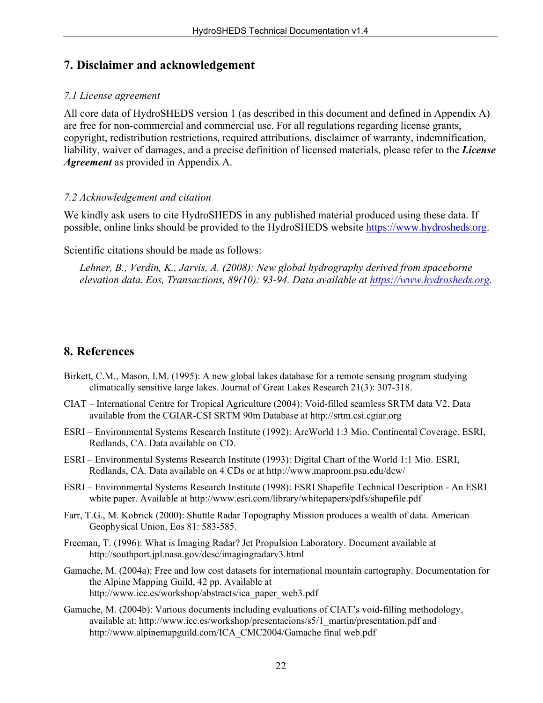## **7. Disclaimer and acknowledgement**

#### *7.1 License agreement*

All core data of HydroSHEDS version 1 (as described in this document and defined in Appendix A) are free for non-commercial and commercial use. For all regulations regarding license grants, copyright, redistribution restrictions, required attributions, disclaimer of warranty, indemnification, liability, waiver of damages, and a precise definition of licensed materials, please refer to the *License Agreement* as provided in Appendix A.

#### *7.2 Acknowledgement and citation*

We kindly ask users to cite HydroSHEDS in any published material produced using these data. If possible, online links should be provided to the HydroSHEDS website [https://www.hydrosheds.org.](https://www.hydrosheds.org/)

Scientific citations should be made as follows:

*Lehner, B., Verdin, K., Jarvis, A. (2008): New global hydrography derived from spaceborne elevation data. Eos, Transactions, 89(10): 93-94. Data available at [https://www.hydrosheds.org.](https://www.hydrosheds.org/)* 

## **8. References**

- Birkett, C.M., Mason, I.M. (1995): A new global lakes database for a remote sensing program studying climatically sensitive large lakes. Journal of Great Lakes Research 21(3): 307-318.
- CIAT International Centre for Tropical Agriculture (2004): Void-filled seamless SRTM data V2. Data available from the CGIAR-CSI SRTM 90m Database at http://srtm.csi.cgiar.org
- ESRI Environmental Systems Research Institute (1992): ArcWorld 1:3 Mio. Continental Coverage. ESRI, Redlands, CA. Data available on CD.
- ESRI Environmental Systems Research Institute (1993): Digital Chart of the World 1:1 Mio. ESRI, Redlands, CA. Data available on 4 CDs or at http://www.maproom.psu.edu/dcw/
- ESRI Environmental Systems Research Institute (1998): ESRI Shapefile Technical Description An ESRI white paper. Available at http://www.esri.com/library/whitepapers/pdfs/shapefile.pdf
- Farr, T.G., M. Kobrick (2000): Shuttle Radar Topography Mission produces a wealth of data. American Geophysical Union, Eos 81: 583-585.
- Freeman, T. (1996): What is Imaging Radar? Jet Propulsion Laboratory. Document available at http://southport.jpl.nasa.gov/desc/imagingradarv3.html
- Gamache, M. (2004a): Free and low cost datasets for international mountain cartography. Documentation for the Alpine Mapping Guild, 42 pp. Available at http://www.icc.es/workshop/abstracts/ica\_paper\_web3.pdf
- Gamache, M. (2004b): Various documents including evaluations of CIAT's void-filling methodology, available at: http://www.icc.es/workshop/presentacions/s5/1\_martin/presentation.pdf and http://www.alpinemapguild.com/ICA\_CMC2004/Gamache final web.pdf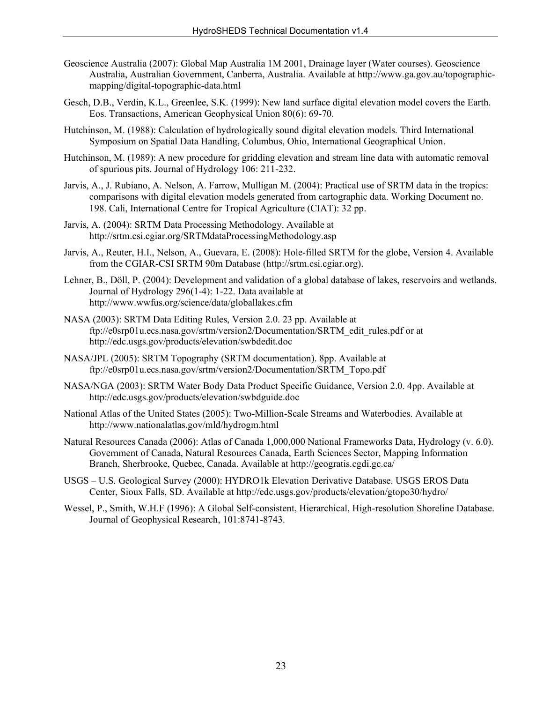- Geoscience Australia (2007): Global Map Australia 1M 2001, Drainage layer (Water courses). Geoscience Australia, Australian Government, Canberra, Australia. Available at http://www.ga.gov.au/topographicmapping/digital-topographic-data.html
- Gesch, D.B., Verdin, K.L., Greenlee, S.K. (1999): New land surface digital elevation model covers the Earth. Eos. Transactions, American Geophysical Union 80(6): 69-70.
- Hutchinson, M. (1988): Calculation of hydrologically sound digital elevation models. Third International Symposium on Spatial Data Handling, Columbus, Ohio, International Geographical Union.
- Hutchinson, M. (1989): A new procedure for gridding elevation and stream line data with automatic removal of spurious pits. Journal of Hydrology 106: 211-232.
- Jarvis, A., J. Rubiano, A. Nelson, A. Farrow, Mulligan M. (2004): Practical use of SRTM data in the tropics: comparisons with digital elevation models generated from cartographic data. Working Document no. 198. Cali, International Centre for Tropical Agriculture (CIAT): 32 pp.
- Jarvis, A. (2004): SRTM Data Processing Methodology. Available at http://srtm.csi.cgiar.org/SRTMdataProcessingMethodology.asp
- Jarvis, A., Reuter, H.I., Nelson, A., Guevara, E. (2008): Hole-filled SRTM for the globe, Version 4. Available from the CGIAR-CSI SRTM 90m Database (http://srtm.csi.cgiar.org).
- Lehner, B., Döll, P. (2004): Development and validation of a global database of lakes, reservoirs and wetlands. Journal of Hydrology 296(1-4): 1-22. Data available at http://www.wwfus.org/science/data/globallakes.cfm
- NASA (2003): SRTM Data Editing Rules, Version 2.0. 23 pp. Available at ftp://e0srp01u.ecs.nasa.gov/srtm/version2/Documentation/SRTM\_edit\_rules.pdf or at http://edc.usgs.gov/products/elevation/swbdedit.doc
- NASA/JPL (2005): SRTM Topography (SRTM documentation). 8pp. Available at ftp://e0srp01u.ecs.nasa.gov/srtm/version2/Documentation/SRTM\_Topo.pdf
- NASA/NGA (2003): SRTM Water Body Data Product Specific Guidance, Version 2.0. 4pp. Available at http://edc.usgs.gov/products/elevation/swbdguide.doc
- National Atlas of the United States (2005): Two-Million-Scale Streams and Waterbodies. Available at http://www.nationalatlas.gov/mld/hydrogm.html
- Natural Resources Canada (2006): Atlas of Canada 1,000,000 National Frameworks Data, Hydrology (v. 6.0). Government of Canada, Natural Resources Canada, Earth Sciences Sector, Mapping Information Branch, Sherbrooke, Quebec, Canada. Available at http://geogratis.cgdi.gc.ca/
- USGS U.S. Geological Survey (2000): HYDRO1k Elevation Derivative Database. USGS EROS Data Center, Sioux Falls, SD. Available at http://edc.usgs.gov/products/elevation/gtopo30/hydro/
- Wessel, P., Smith, W.H.F (1996): A Global Self-consistent, Hierarchical, High-resolution Shoreline Database. Journal of Geophysical Research, 101:8741-8743.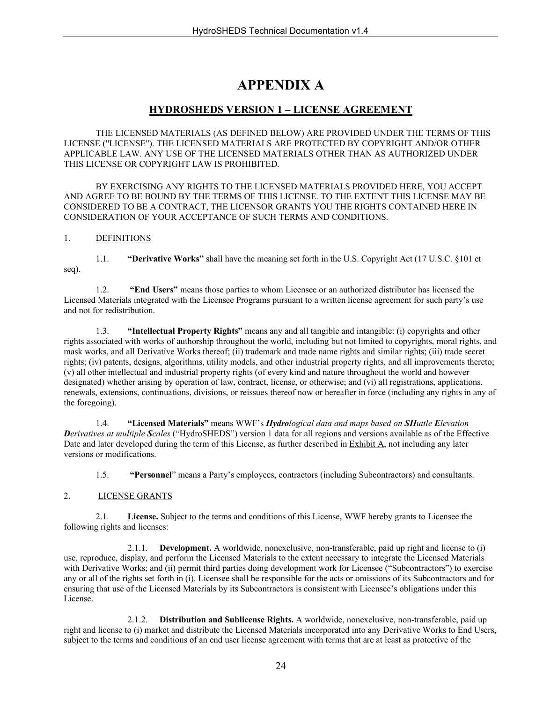## **APPENDIX A**

#### **HYDROSHEDS VERSION 1 – LICENSE AGREEMENT**

THE LICENSED MATERIALS (AS DEFINED BELOW) ARE PROVIDED UNDER THE TERMS OF THIS LICENSE ("LICENSE"). THE LICENSED MATERIALS ARE PROTECTED BY COPYRIGHT AND/OR OTHER APPLICABLE LAW. ANY USE OF THE LICENSED MATERIALS OTHER THAN AS AUTHORIZED UNDER THIS LICENSE OR COPYRIGHT LAW IS PROHIBITED.

BY EXERCISING ANY RIGHTS TO THE LICENSED MATERIALS PROVIDED HERE, YOU ACCEPT AND AGREE TO BE BOUND BY THE TERMS OF THIS LICENSE. TO THE EXTENT THIS LICENSE MAY BE CONSIDERED TO BE A CONTRACT, THE LICENSOR GRANTS YOU THE RIGHTS CONTAINED HERE IN CONSIDERATION OF YOUR ACCEPTANCE OF SUCH TERMS AND CONDITIONS.

#### 1. DEFINITIONS

1.1. **"Derivative Works"** shall have the meaning set forth in the U.S. Copyright Act (17 U.S.C. §101 et seq).

1.2. **"End Users"** means those parties to whom Licensee or an authorized distributor has licensed the Licensed Materials integrated with the Licensee Programs pursuant to a written license agreement for such party's use and not for redistribution.

1.3. **"Intellectual Property Rights"** means any and all tangible and intangible: (i) copyrights and other rights associated with works of authorship throughout the world, including but not limited to copyrights, moral rights, and mask works, and all Derivative Works thereof; (ii) trademark and trade name rights and similar rights; (iii) trade secret rights; (iv) patents, designs, algorithms, utility models, and other industrial property rights, and all improvements thereto; (v) all other intellectual and industrial property rights (of every kind and nature throughout the world and however designated) whether arising by operation of law, contract, license, or otherwise; and (vi) all registrations, applications, renewals, extensions, continuations, divisions, or reissues thereof now or hereafter in force (including any rights in any of the foregoing).

1.4. **"Licensed Materials"** means WWF's *Hydrological data and maps based on SHuttle Elevation Derivatives at multiple Scales* ("HydroSHEDS") version 1 data for all regions and versions available as of the Effective Date and later developed during the term of this License, as further described in **Exhibit A**, not including any later versions or modifications.

1.5. **"Personnel**" means a Party's employees, contractors (including Subcontractors) and consultants.

#### 2. LICENSE GRANTS

2.1. **License.** Subject to the terms and conditions of this License, WWF hereby grants to Licensee the following rights and licenses:

2.1.1. **Development.** A worldwide, nonexclusive, non-transferable, paid up right and license to (i) use, reproduce, display, and perform the Licensed Materials to the extent necessary to integrate the Licensed Materials with Derivative Works; and (ii) permit third parties doing development work for Licensee ("Subcontractors") to exercise any or all of the rights set forth in (i). Licensee shall be responsible for the acts or omissions of its Subcontractors and for ensuring that use of the Licensed Materials by its Subcontractors is consistent with Licensee's obligations under this License.

2.1.2. **Distribution and Sublicense Rights.** A worldwide, nonexclusive, non-transferable, paid up right and license to (i) market and distribute the Licensed Materials incorporated into any Derivative Works to End Users, subject to the terms and conditions of an end user license agreement with terms that are at least as protective of the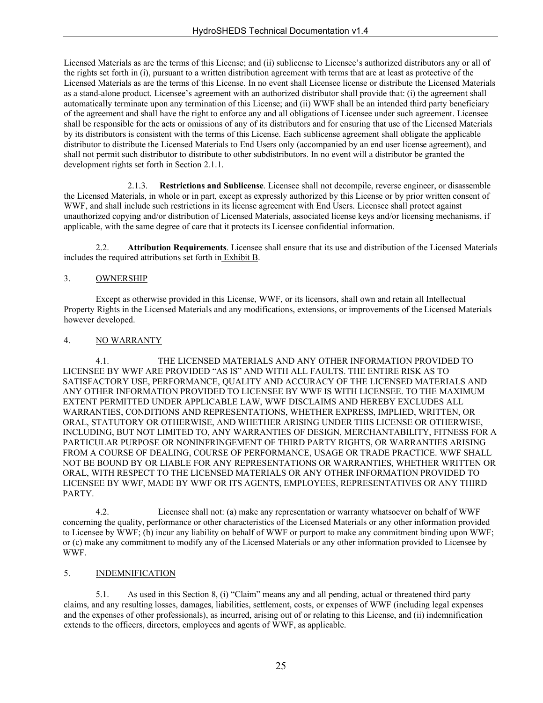Licensed Materials as are the terms of this License; and (ii) sublicense to Licensee's authorized distributors any or all of the rights set forth in (i), pursuant to a written distribution agreement with terms that are at least as protective of the Licensed Materials as are the terms of this License. In no event shall Licensee license or distribute the Licensed Materials as a stand-alone product. Licensee's agreement with an authorized distributor shall provide that: (i) the agreement shall automatically terminate upon any termination of this License; and (ii) WWF shall be an intended third party beneficiary of the agreement and shall have the right to enforce any and all obligations of Licensee under such agreement. Licensee shall be responsible for the acts or omissions of any of its distributors and for ensuring that use of the Licensed Materials by its distributors is consistent with the terms of this License. Each sublicense agreement shall obligate the applicable distributor to distribute the Licensed Materials to End Users only (accompanied by an end user license agreement), and shall not permit such distributor to distribute to other subdistributors. In no event will a distributor be granted the development rights set forth in Section 2.1.1.

2.1.3. **Restrictions and Sublicense**. Licensee shall not decompile, reverse engineer, or disassemble the Licensed Materials, in whole or in part, except as expressly authorized by this License or by prior written consent of WWF, and shall include such restrictions in its license agreement with End Users. Licensee shall protect against unauthorized copying and/or distribution of Licensed Materials, associated license keys and/or licensing mechanisms, if applicable, with the same degree of care that it protects its Licensee confidential information.

2.2. **Attribution Requirements**. Licensee shall ensure that its use and distribution of the Licensed Materials includes the required attributions set forth in Exhibit B.

#### 3. OWNERSHIP

Except as otherwise provided in this License, WWF, or its licensors, shall own and retain all Intellectual Property Rights in the Licensed Materials and any modifications, extensions, or improvements of the Licensed Materials however developed.

#### 4. NO WARRANTY

4.1. THE LICENSED MATERIALS AND ANY OTHER INFORMATION PROVIDED TO LICENSEE BY WWF ARE PROVIDED "AS IS" AND WITH ALL FAULTS. THE ENTIRE RISK AS TO SATISFACTORY USE, PERFORMANCE, QUALITY AND ACCURACY OF THE LICENSED MATERIALS AND ANY OTHER INFORMATION PROVIDED TO LICENSEE BY WWF IS WITH LICENSEE. TO THE MAXIMUM EXTENT PERMITTED UNDER APPLICABLE LAW, WWF DISCLAIMS AND HEREBY EXCLUDES ALL WARRANTIES, CONDITIONS AND REPRESENTATIONS, WHETHER EXPRESS, IMPLIED, WRITTEN, OR ORAL, STATUTORY OR OTHERWISE, AND WHETHER ARISING UNDER THIS LICENSE OR OTHERWISE, INCLUDING, BUT NOT LIMITED TO, ANY WARRANTIES OF DESIGN, MERCHANTABILITY, FITNESS FOR A PARTICULAR PURPOSE OR NONINFRINGEMENT OF THIRD PARTY RIGHTS, OR WARRANTIES ARISING FROM A COURSE OF DEALING, COURSE OF PERFORMANCE, USAGE OR TRADE PRACTICE. WWF SHALL NOT BE BOUND BY OR LIABLE FOR ANY REPRESENTATIONS OR WARRANTIES, WHETHER WRITTEN OR ORAL, WITH RESPECT TO THE LICENSED MATERIALS OR ANY OTHER INFORMATION PROVIDED TO LICENSEE BY WWF, MADE BY WWF OR ITS AGENTS, EMPLOYEES, REPRESENTATIVES OR ANY THIRD PARTY.

4.2. Licensee shall not: (a) make any representation or warranty whatsoever on behalf of WWF concerning the quality, performance or other characteristics of the Licensed Materials or any other information provided to Licensee by WWF; (b) incur any liability on behalf of WWF or purport to make any commitment binding upon WWF; or (c) make any commitment to modify any of the Licensed Materials or any other information provided to Licensee by WWF.

#### 5. INDEMNIFICATION

5.1. As used in this Section 8, (i) "Claim" means any and all pending, actual or threatened third party claims, and any resulting losses, damages, liabilities, settlement, costs, or expenses of WWF (including legal expenses and the expenses of other professionals), as incurred, arising out of or relating to this License, and (ii) indemnification extends to the officers, directors, employees and agents of WWF, as applicable.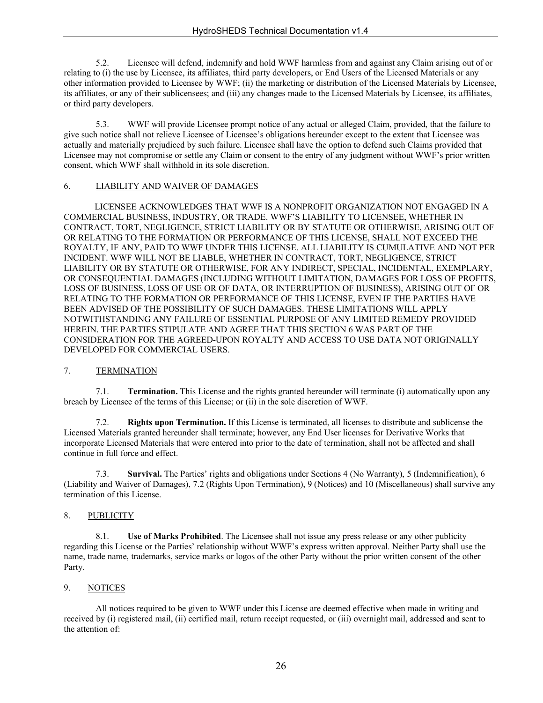5.2. Licensee will defend, indemnify and hold WWF harmless from and against any Claim arising out of or relating to (i) the use by Licensee, its affiliates, third party developers, or End Users of the Licensed Materials or any other information provided to Licensee by WWF; (ii) the marketing or distribution of the Licensed Materials by Licensee, its affiliates, or any of their sublicensees; and (iii) any changes made to the Licensed Materials by Licensee, its affiliates, or third party developers.

5.3. WWF will provide Licensee prompt notice of any actual or alleged Claim, provided, that the failure to give such notice shall not relieve Licensee of Licensee's obligations hereunder except to the extent that Licensee was actually and materially prejudiced by such failure. Licensee shall have the option to defend such Claims provided that Licensee may not compromise or settle any Claim or consent to the entry of any judgment without WWF's prior written consent, which WWF shall withhold in its sole discretion.

#### 6. LIABILITY AND WAIVER OF DAMAGES

LICENSEE ACKNOWLEDGES THAT WWF IS A NONPROFIT ORGANIZATION NOT ENGAGED IN A COMMERCIAL BUSINESS, INDUSTRY, OR TRADE. WWF'S LIABILITY TO LICENSEE, WHETHER IN CONTRACT, TORT, NEGLIGENCE, STRICT LIABILITY OR BY STATUTE OR OTHERWISE, ARISING OUT OF OR RELATING TO THE FORMATION OR PERFORMANCE OF THIS LICENSE, SHALL NOT EXCEED THE ROYALTY, IF ANY, PAID TO WWF UNDER THIS LICENSE. ALL LIABILITY IS CUMULATIVE AND NOT PER INCIDENT. WWF WILL NOT BE LIABLE, WHETHER IN CONTRACT, TORT, NEGLIGENCE, STRICT LIABILITY OR BY STATUTE OR OTHERWISE, FOR ANY INDIRECT, SPECIAL, INCIDENTAL, EXEMPLARY, OR CONSEQUENTIAL DAMAGES (INCLUDING WITHOUT LIMITATION, DAMAGES FOR LOSS OF PROFITS, LOSS OF BUSINESS, LOSS OF USE OR OF DATA, OR INTERRUPTION OF BUSINESS), ARISING OUT OF OR RELATING TO THE FORMATION OR PERFORMANCE OF THIS LICENSE, EVEN IF THE PARTIES HAVE BEEN ADVISED OF THE POSSIBILITY OF SUCH DAMAGES. THESE LIMITATIONS WILL APPLY NOTWITHSTANDING ANY FAILURE OF ESSENTIAL PURPOSE OF ANY LIMITED REMEDY PROVIDED HEREIN. THE PARTIES STIPULATE AND AGREE THAT THIS SECTION 6 WAS PART OF THE CONSIDERATION FOR THE AGREED-UPON ROYALTY AND ACCESS TO USE DATA NOT ORIGINALLY DEVELOPED FOR COMMERCIAL USERS.

#### 7. TERMINATION

7.1. **Termination.** This License and the rights granted hereunder will terminate (i) automatically upon any breach by Licensee of the terms of this License; or (ii) in the sole discretion of WWF.

7.2. **Rights upon Termination.** If this License is terminated, all licenses to distribute and sublicense the Licensed Materials granted hereunder shall terminate; however, any End User licenses for Derivative Works that incorporate Licensed Materials that were entered into prior to the date of termination, shall not be affected and shall continue in full force and effect.

7.3. **Survival.** The Parties' rights and obligations under Sections 4 (No Warranty), 5 (Indemnification), 6 (Liability and Waiver of Damages), 7.2 (Rights Upon Termination), 9 (Notices) and 10 (Miscellaneous) shall survive any termination of this License.

#### 8. PUBLICITY

8.1. **Use of Marks Prohibited**. The Licensee shall not issue any press release or any other publicity regarding this License or the Parties' relationship without WWF's express written approval. Neither Party shall use the name, trade name, trademarks, service marks or logos of the other Party without the prior written consent of the other Party.

#### 9. NOTICES

All notices required to be given to WWF under this License are deemed effective when made in writing and received by (i) registered mail, (ii) certified mail, return receipt requested, or (iii) overnight mail, addressed and sent to the attention of: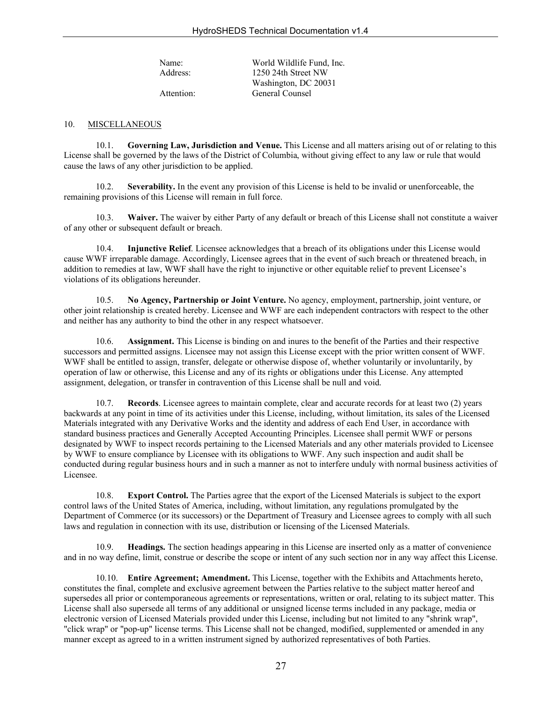Name: World Wildlife Fund, Inc. Address: 1250 24th Street NW Washington, DC 20031 Attention: General Counsel

#### 10. MISCELLANEOUS

10.1. **Governing Law, Jurisdiction and Venue.** This License and all matters arising out of or relating to this License shall be governed by the laws of the District of Columbia, without giving effect to any law or rule that would cause the laws of any other jurisdiction to be applied.

10.2. **Severability.** In the event any provision of this License is held to be invalid or unenforceable, the remaining provisions of this License will remain in full force.

10.3. **Waiver.** The waiver by either Party of any default or breach of this License shall not constitute a waiver of any other or subsequent default or breach.

10.4. **Injunctive Relief**. Licensee acknowledges that a breach of its obligations under this License would cause WWF irreparable damage. Accordingly, Licensee agrees that in the event of such breach or threatened breach, in addition to remedies at law, WWF shall have the right to injunctive or other equitable relief to prevent Licensee's violations of its obligations hereunder.

10.5. **No Agency, Partnership or Joint Venture.** No agency, employment, partnership, joint venture, or other joint relationship is created hereby. Licensee and WWF are each independent contractors with respect to the other and neither has any authority to bind the other in any respect whatsoever.

10.6. **Assignment.** This License is binding on and inures to the benefit of the Parties and their respective successors and permitted assigns. Licensee may not assign this License except with the prior written consent of WWF. WWF shall be entitled to assign, transfer, delegate or otherwise dispose of, whether voluntarily or involuntarily, by operation of law or otherwise, this License and any of its rights or obligations under this License. Any attempted assignment, delegation, or transfer in contravention of this License shall be null and void.

10.7. **Records**. Licensee agrees to maintain complete, clear and accurate records for at least two (2) years backwards at any point in time of its activities under this License, including, without limitation, its sales of the Licensed Materials integrated with any Derivative Works and the identity and address of each End User, in accordance with standard business practices and Generally Accepted Accounting Principles. Licensee shall permit WWF or persons designated by WWF to inspect records pertaining to the Licensed Materials and any other materials provided to Licensee by WWF to ensure compliance by Licensee with its obligations to WWF. Any such inspection and audit shall be conducted during regular business hours and in such a manner as not to interfere unduly with normal business activities of Licensee.

10.8. **Export Control.** The Parties agree that the export of the Licensed Materials is subject to the export control laws of the United States of America, including, without limitation, any regulations promulgated by the Department of Commerce (or its successors) or the Department of Treasury and Licensee agrees to comply with all such laws and regulation in connection with its use, distribution or licensing of the Licensed Materials.

10.9. **Headings.** The section headings appearing in this License are inserted only as a matter of convenience and in no way define, limit, construe or describe the scope or intent of any such section nor in any way affect this License.

10.10. **Entire Agreement; Amendment.** This License, together with the Exhibits and Attachments hereto, constitutes the final, complete and exclusive agreement between the Parties relative to the subject matter hereof and supersedes all prior or contemporaneous agreements or representations, written or oral, relating to its subject matter. This License shall also supersede all terms of any additional or unsigned license terms included in any package, media or electronic version of Licensed Materials provided under this License, including but not limited to any "shrink wrap", "click wrap" or "pop-up" license terms. This License shall not be changed, modified, supplemented or amended in any manner except as agreed to in a written instrument signed by authorized representatives of both Parties.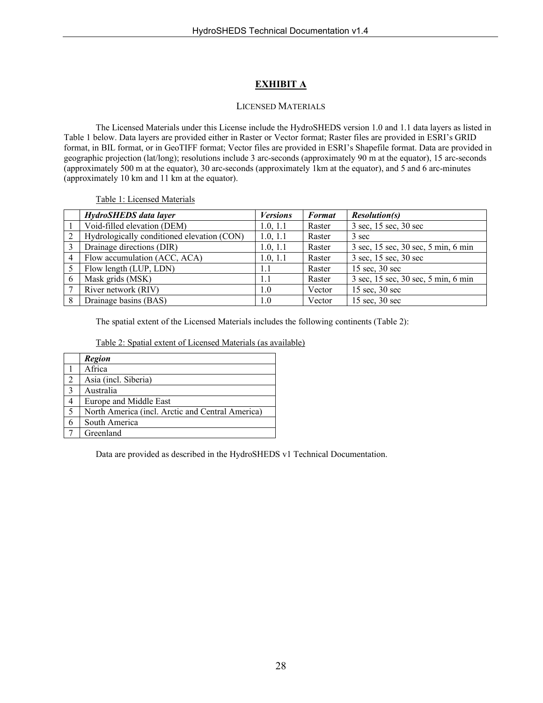#### **EXHIBIT A**

#### LICENSED MATERIALS

The Licensed Materials under this License include the HydroSHEDS version 1.0 and 1.1 data layers as listed in Table 1 below. Data layers are provided either in Raster or Vector format; Raster files are provided in ESRI's GRID format, in BIL format, or in GeoTIFF format; Vector files are provided in ESRI's Shapefile format. Data are provided in geographic projection (lat/long); resolutions include 3 arc-seconds (approximately 90 m at the equator), 15 arc-seconds (approximately 500 m at the equator), 30 arc-seconds (approximately 1km at the equator), and 5 and 6 arc-minutes (approximately 10 km and 11 km at the equator).

Table 1: Licensed Materials

|                | HydroSHEDS data layer                      | <b>Versions</b> | <b>Format</b> | <i>Resolution(s)</i>                |
|----------------|--------------------------------------------|-----------------|---------------|-------------------------------------|
|                | Void-filled elevation (DEM)                | 1.0, 1.1        | Raster        | 3 sec, 15 sec, 30 sec               |
| $\overline{2}$ | Hydrologically conditioned elevation (CON) | 1.0, 1.1        | Raster        | 3 sec                               |
| 3              | Drainage directions (DIR)                  | 1.0, 1.1        | Raster        | 3 sec, 15 sec, 30 sec, 5 min, 6 min |
| 4              | Flow accumulation (ACC, ACA)               | 1.0, 1.1        | Raster        | 3 sec, 15 sec, 30 sec               |
|                | Flow length (LUP, LDN)                     | 1.1             | Raster        | $15 \text{ sec}, 30 \text{ sec}$    |
| 6              | Mask grids (MSK)                           | 1.1             | Raster        | 3 sec, 15 sec, 30 sec, 5 min, 6 min |
|                | River network (RIV)                        | 1.0             | Vector        | $15 \text{ sec}, 30 \text{ sec}$    |
| 8              | Drainage basins (BAS)                      | 1.0             | Vector        | $15 \text{ sec}, 30 \text{ sec}$    |

The spatial extent of the Licensed Materials includes the following continents (Table 2):

|--|

|                | <b>Region</b>                                    |
|----------------|--------------------------------------------------|
|                | Africa                                           |
|                | Asia (incl. Siberia)                             |
| $\mathcal{E}$  | Australia                                        |
|                | Europe and Middle East                           |
| $\overline{5}$ | North America (incl. Arctic and Central America) |
|                | South America                                    |
|                | Greenland                                        |

Data are provided as described in the HydroSHEDS v1 Technical Documentation.